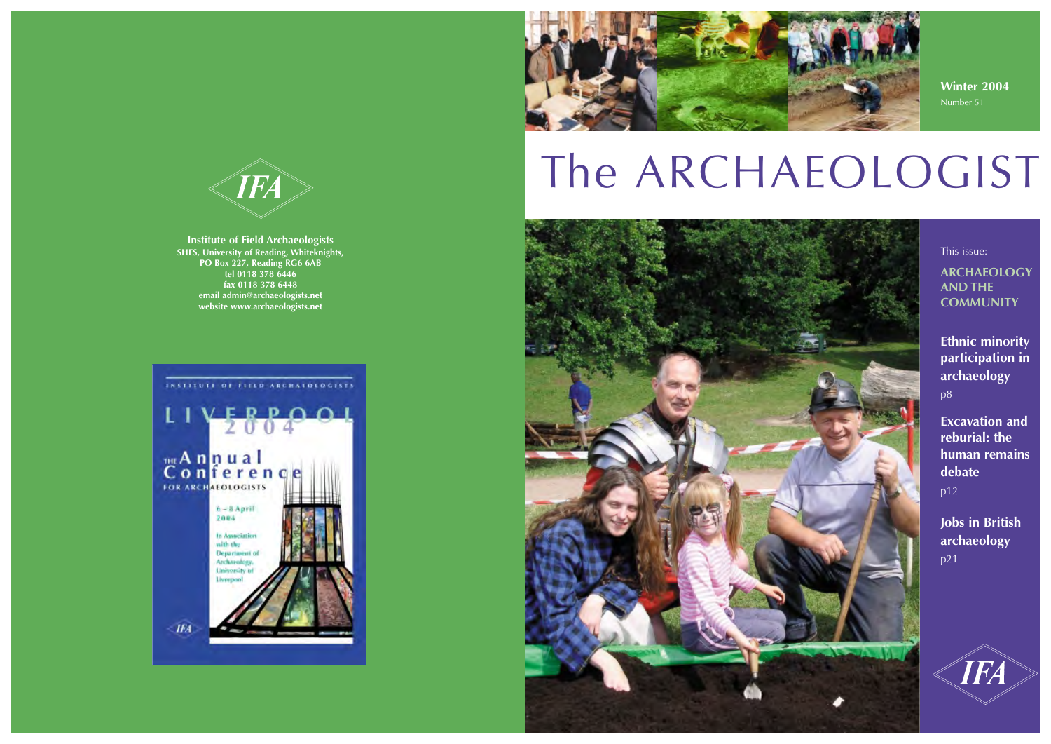## **Winter 2004** Number 51

This issue:

**ARCHAEOLOGY AND THE COMMUNITY**

**Ethnic minority participation in archaeology** p8

**Excavation and reburial: the human remains debate** p12

**Jobs in British archaeology** p21





**Institute of Field Archaeologists SHES, University of Reading, Whiteknights, PO Box 227, Reading RG6 6AB tel 0118 378 6446 fax 0118 378 6448 email admin@archaeologists.net website www.archaeologists.net**





# The ARCHAEOLOGIST

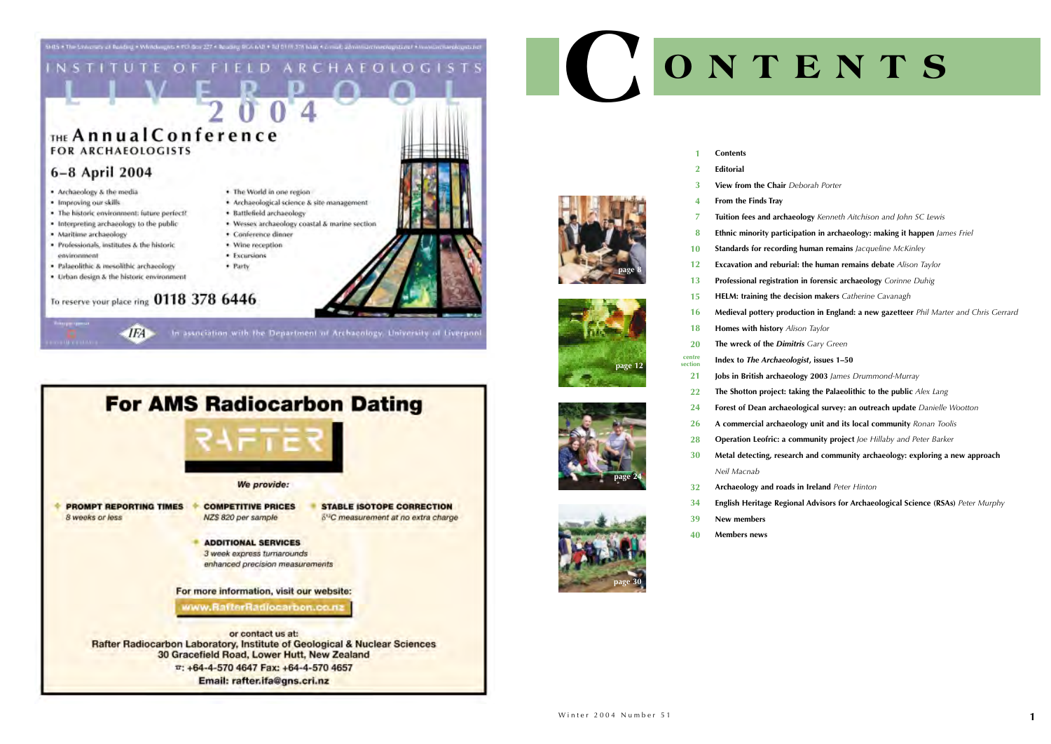



In association with the Department of Archaeology, University of Liverpon



## **View from the Chair** *Deborah Porter*

**Tuition fees and archaeology** *Kenneth Aitchison and John SC Lewis* **Ethnic minority participation in archaeology: making it happen** *James Friel* **Standards for recording human remains** *Jacqueline McKinley* **Excavation and reburial: the human remains debate** *Alison Taylor* **Professional registration in forensic archaeology** *Corinne Duhig* **HELM: training the decision makers** *Catherine Cavanagh* **Medieval pottery production in England: a new gazetteer** *Phil Marter and Chris Gerrard* **The wreck of the** *Dimitris Gary Green* **Index to** *The Archaeologist***, issues 1–50 Jobs in British archaeology 2003** *James Drummond-Murray* **The Shotton project: taking the Palaeolithic to the public** *Alex Lang* **Forest of Dean archaeological survey: an outreach update** *Danielle Wootton* **A commercial archaeology unit and its local community** *Ronan Toolis* **Operation Leofric: a community project** *Joe Hillaby and Peter Barker* **Metal detecting, research and community archaeology: exploring a new approach** 

|    | <b>Contents</b>  |
|----|------------------|
| -2 | <b>Editorial</b> |
|    | View from the C  |

- **From the Finds Tray**
- 
- 
- 
- 
- 
- -
- **Homes with history** *Alison Taylor*
- 
- 
- **21 22**
- **24**
	-
	-
- *Neil Macnab* **30**
- **32**
- **34**
- **New members 39**
- **Members news 40**

## **CONTENTS**

**Archaeology and roads in Ireland** *Peter Hinton* **English Heritage Regional Advisors for Archaeological Science (RSAs)** *Peter Murphy*

> **26 28**







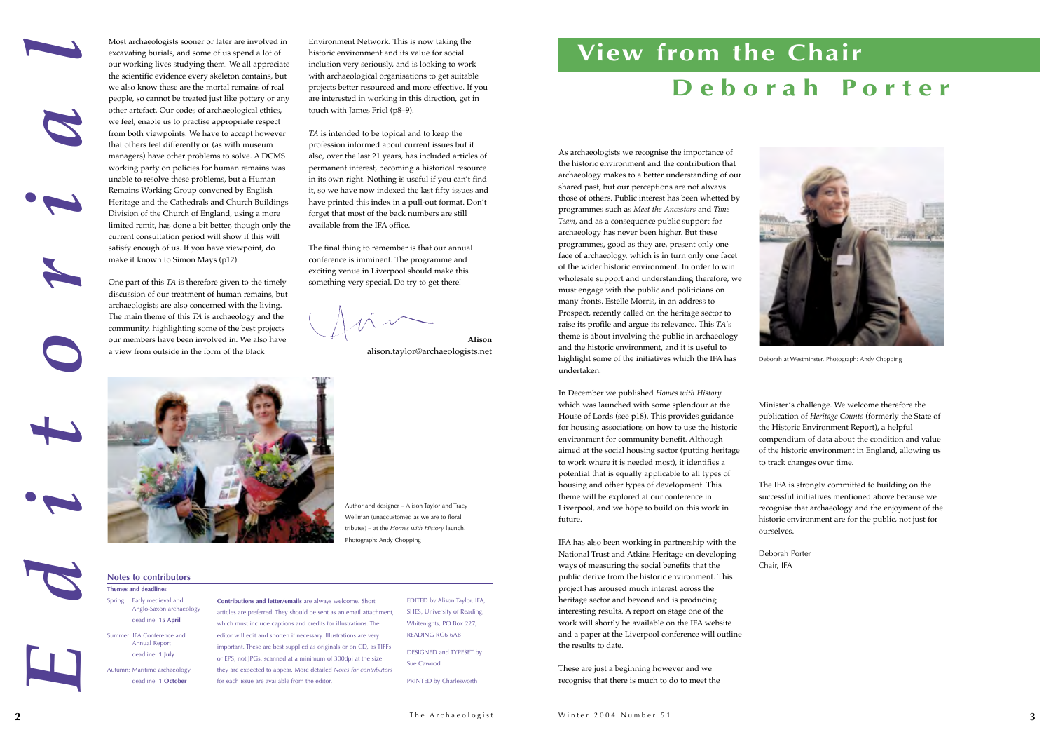















**View from the Chair**

In December we published *Homes with History* which was launched with some splendour at the House of Lords (see p18). This provides guidance for housing associations on how to use the historic environment for community benefit. Although aimed at the social housing sector (putting heritage to work where it is needed most), it identifies a potential that is equally applicable to all types of housing and other types of development. This theme will be explored at our conference in Liverpool, and we hope to build on this work in future.

IFA has also been working in partnership with the National Trust and Atkins Heritage on developing ways of measuring the social benefits that the public derive from the historic environment. This project has aroused much interest across the heritage sector and beyond and is producing interesting results. A report on stage one of the work will shortly be available on the IFA website and a paper at the Liverpool conference will outline the results to date.

These are just a beginning however and we recognise that there is much to do to meet the

Minister's challenge. We welcome therefore the publication of *Heritage Counts* (formerly the State of the Historic Environment Report), a helpful compendium of data about the condition and value of the historic environment in England, allowing us to track changes over time.

The IFA is strongly committed to building on the successful initiatives mentioned above because we recognise that archaeology and the enjoyment of the historic environment are for the public, not just for

ourselves.

Deborah Porter Chair, IFA

As archaeologists we recognise the importance of the historic environment and the contribution that archaeology makes to a better understanding of our shared past, but our perceptions are not always those of others. Public interest has been whetted by programmes such as *Meet the Ancestors* and *Time Team*, and as a consequence public support for archaeology has never been higher. But these programmes, good as they are, present only one face of archaeology, which is in turn only one facet of the wider historic environment. In order to win wholesale support and understanding therefore, we must engage with the public and politicians on many fronts. Estelle Morris, in an address to Prospect, recently called on the heritage sector to raise its profile and argue its relevance. This *TA*'s theme is about involving the public in archaeology and the historic environment, and it is useful to highlight some of the initiatives which the IFA has undertaken. *Editorial* **Contributions and letter/emails** are always welcome. Short articles are preferred. They should be sent as an email attachment, which must include captions and credits for illustrations. The editor will edit and shorten if necessary. Illustrations are very important. These are best supplied as originals or on CD, as TIFFs or EPS, not JPGs, scanned at a minimum of 300dpi at the size they are expected to appear. More detailed *Notes for contributors* for each issue are available from the editor. EDITED by Alison Taylor, IFA, SHES, University of Reading, Whitenights, PO Box 227, READING RG6 6AB DESIGNED and TYPESET by Sue Cawood PRINTED by Charlesworth **Notes to contributors Themes and deadlines** Spring: Early medieval and Anglo-Saxon archaeology deadline: **15 April** Summer: IFA Conference and Annual Report deadline: **1 July** Autumn: Maritime archaeology deadline: **1 October Deborah Porter** Deborah at Westminster. Photograph: Andy Chopping Most archaeologists sooner or later are involved in excavating burials, and some of us spend a lot of our working lives studying them. We all appreciate the scientific evidence every skeleton contains, but we also know these are the mortal remains of real people, so cannot be treated just like pottery or any other artefact. Our codes of archaeological ethics, we feel, enable us to practise appropriate respect from both viewpoints. We have to accept however that others feel differently or (as with museum managers) have other problems to solve. A DCMS working party on policies for human remains was unable to resolve these problems, but a Human Remains Working Group convened by English Heritage and the Cathedrals and Church Buildings Division of the Church of England, using a more limited remit, has done a bit better, though only the current consultation period will show if this will satisfy enough of us. If you have viewpoint, do make it known to Simon Mays (p12). One part of this *TA* is therefore given to the timely discussion of our treatment of human remains, but archaeologists are also concerned with the living. The main theme of this *TA* is archaeology and the community, highlighting some of the best projects our members have been involved in. We also have a view from outside in the form of the Black Environment Network. This is now taking the historic environment and its value for social inclusion very seriously, and is looking to work with archaeological organisations to get suitable projects better resourced and more effective. If you are interested in working in this direction, get in touch with James Friel (p8–9). *TA* is intended to be topical and to keep the profession informed about current issues but it also, over the last 21 years, has included articles of permanent interest, becoming a historical resource in its own right. Nothing is useful if you can't find it, so we have now indexed the last fifty issues and have printed this index in a pull-out format. Don't forget that most of the back numbers are still available from the IFA office. The final thing to remember is that our annual conference is imminent. The programme and exciting venue in Liverpool should make this something very special. Do try to get there! **Alison** alison.taylor@archaeologists.net Author and designer – Alison Taylor and Tracy Wellman (unaccustomed as we are to floral tributes) – at the *Homes with History* launch. Photograph: Andy Chopping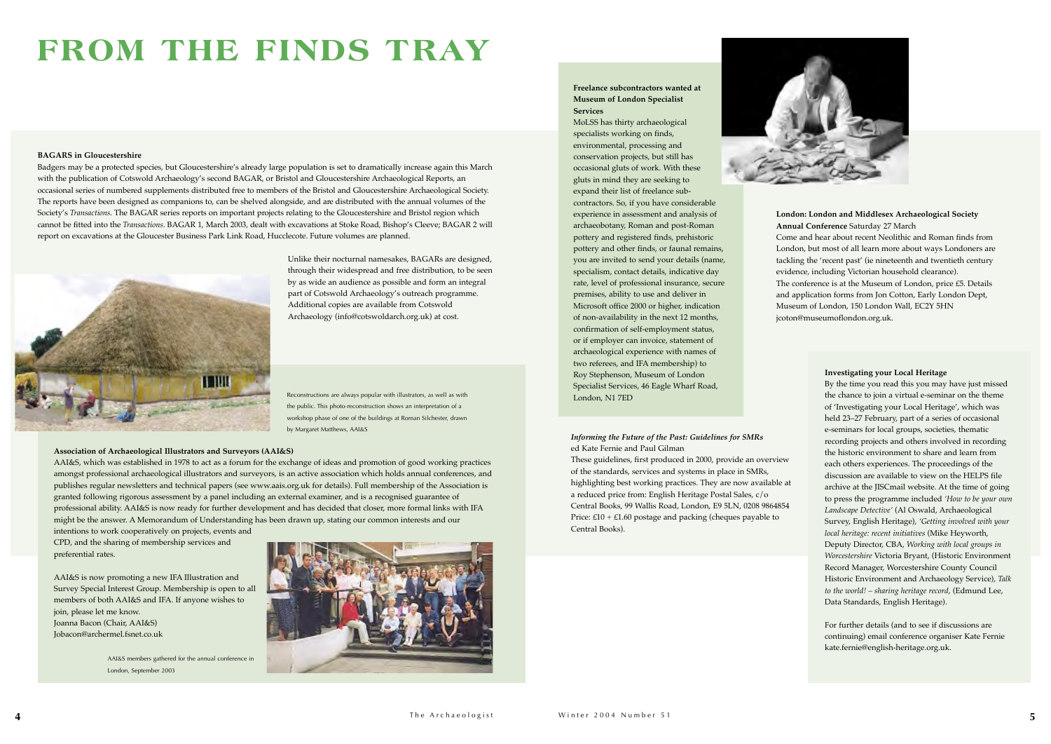

## **FROM THE FINDS TRAY**

## **London: London and Middlesex Archaeological Society Annual Conference** Saturday 27 March

Come and hear about recent Neolithic and Roman finds from London, but most of all learn more about ways Londoners are tackling the 'recent past' (ie nineteenth and twentieth century evidence, including Victorian household clearance).

The conference is at the Museum of London, price £5. Details and application forms from Jon Cotton, Early London Dept, Museum of London, 150 London Wall, EC2Y 5HN jcoton@museumoflondon.org.uk.

## **Association of Archaeological Illustrators and Surveyors (AAI&S)**

AAI&S, which was established in 1978 to act as a forum for the exchange of ideas and promotion of good working practices amongst professional archaeological illustrators and surveyors, is an active association which holds annual conferences, and publishes regular newsletters and technical papers (see www.aais.org.uk for details). Full membership of the Association is granted following rigorous assessment by a panel including an external examiner, and is a recognised guarantee of professional ability. AAI&S is now ready for further development and has decided that closer, more formal links with IFA might be the answer. A Memorandum of Understanding has been drawn up, stating our common interests and our

intentions to work cooperatively on projects, events and CPD, and the sharing of membership services and preferential rates.

AAI&S is now promoting a new IFA Illustration and Survey Special Interest Group. Membership is open to all members of both AAI&S and IFA. If anyone wishes to join, please let me know. Joanna Bacon (Chair, AAI&S) Jobacon@archermel.fsnet.co.uk

## **BAGARS in Gloucestershire**

Badgers may be a protected species, but Gloucestershire's already large population is set to dramatically increase again this March with the publication of Cotswold Archaeology's second BAGAR, or Bristol and Gloucestershire Archaeological Reports, an occasional series of numbered supplements distributed free to members of the Bristol and Gloucestershire Archaeological Society. The reports have been designed as companions to, can be shelved alongside, and are distributed with the annual volumes of the Society's *Transactions*. The BAGAR series reports on important projects relating to the Gloucestershire and Bristol region which cannot be fitted into the *Transactions*. BAGAR 1, March 2003, dealt with excavations at Stoke Road, Bishop's Cleeve; BAGAR 2 will report on excavations at the Gloucester Business Park Link Road, Hucclecote. Future volumes are planned.



Unlike their nocturnal namesakes, BAGARs are designed, through their widespread and free distribution, to be seen by as wide an audience as possible and form an integral part of Cotswold Archaeology's outreach programme. Additional copies are available from Cotswold Archaeology (info@cotswoldarch.org.uk) at cost.

Reconstructions are always popular with illustrators, as well as with **Exercise 2008** London, N1 7ED the public. This photo-reconstruction shows an interpretation of a workshop phase of one of the buildings at Roman Silchester, drawn by Margaret Matthews, AAI&S

## **Investigating your Local Heritage**

By the time you read this you may have just missed the chance to join a virtual e-seminar on the theme of 'Investigating your Local Heritage', which was held 23–27 February, part of a series of occasional e-seminars for local groups, societies, thematic recording projects and others involved in recording the historic environment to share and learn from each others experiences. The proceedings of the discussion are available to view on the HELPS file archive at the JISCmail website. At the time of going to press the programme included *'How to be your own Landscape Detective'* (Al Oswald, Archaeological Survey, English Heritage), *'Getting involved with your local heritage: recent initiatives* (Mike Heyworth, Deputy Director, CBA, *Working with local groups in Worcestershire* Victoria Bryant, (Historic Environment Record Manager, Worcestershire County Council Historic Environment and Archaeology Service), *Talk to the world! – sharing heritage record*, (Edmund Lee, Data Standards, English Heritage).

For further details (and to see if discussions are continuing) email conference organiser Kate Fernie kate.fernie@english-heritage.org.uk.

## *Informing the Future of the Past: Guidelines for SMRs*  ed Kate Fernie and Paul Gilman

These guidelines, first produced in 2000, provide an overview of the standards, services and systems in place in SMRs, highlighting best working practices. They are now available at a reduced price from: English Heritage Postal Sales, c/o Central Books, 99 Wallis Road, London, E9 5LN, 0208 9864854 Price:  $£10 + £1.60$  postage and packing (cheques payable to Central Books).

## **Freelance subcontractors wanted at Museum of London Specialist Services**

MoLSS has thirty archaeological specialists working on finds, environmental, processing and conservation projects, but still has occasional gluts of work. With these gluts in mind they are seeking to expand their list of freelance subcontractors. So, if you have considerable experience in assessment and analysis of archaeobotany, Roman and post-Roman pottery and registered finds, prehistoric pottery and other finds, or faunal remains, you are invited to send your details (name, specialism, contact details, indicative day rate, level of professional insurance, secure premises, ability to use and deliver in Microsoft office 2000 or higher, indication of non-availability in the next 12 months, confirmation of self-employment status, or if employer can invoice, statement of archaeological experience with names of two referees, and IFA membership) to Roy Stephenson, Museum of London Specialist Services, 46 Eagle Wharf Road,

AAI&S members gathered for the annual conference in London, September 2003

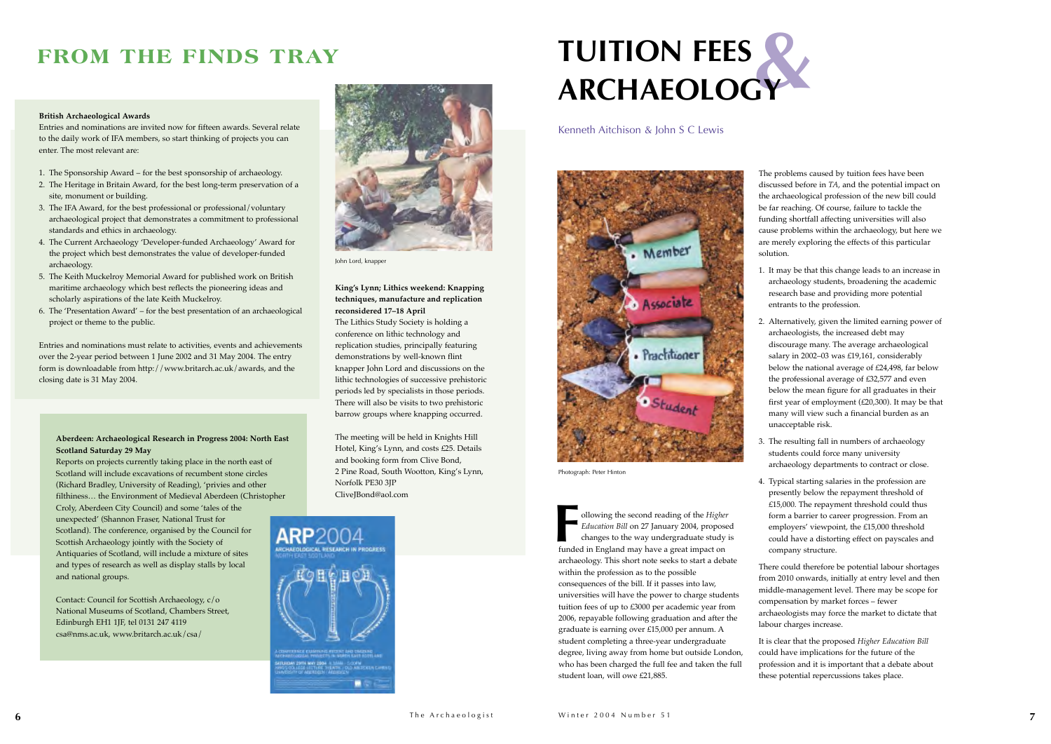



Photograph: Peter Hinton

The problems caused by tuition fees have been discussed before in *TA*, and the potential impact on the archaeological profession of the new bill could be far reaching. Of course, failure to tackle the funding shortfall affecting universities will also cause problems within the archaeology, but here we are merely exploring the effects of this particular

solution.

- 
- 
- 
- 

1. It may be that this change leads to an increase in archaeology students, broadening the academic research base and providing more potential entrants to the profession.

2. Alternatively, given the limited earning power of archaeologists, the increased debt may discourage many. The average archaeological salary in 2002–03 was £19,161, considerably below the national average of £24,498, far below the professional average of £32,577 and even below the mean figure for all graduates in their first year of employment (£20,300). It may be that many will view such a financial burden as an unacceptable risk.

3. The resulting fall in numbers of archaeology students could force many university archaeology departments to contract or close.

4. Typical starting salaries in the profession are presently below the repayment threshold of £15,000. The repayment threshold could thus form a barrier to career progression. From an employers' viewpoint, the £15,000 threshold could have a distorting effect on payscales and company structure.

There could therefore be potential labour shortages from 2010 onwards, initially at entry level and then middle-management level. There may be scope for compensation by market forces – fewer archaeologists may force the market to dictate that labour charges increase.

It is clear that the proposed *Higher Education Bill* could have implications for the future of the profession and it is important that a debate about these potential repercussions takes place.

## **King's Lynn; Lithics weekend: Knapping techniques, manufacture and replication reconsidered 17–18 April**

## **& TUITION FEES ARCHAEOLOGY**

ollowing the second reading of the *Higher Education Bill* on 27 January 2004, proposed changes to the way undergraduate study is funded in England may have a great impact on archaeology. This short note seeks to start a debate within the profession as to the possible consequences of the bill. If it passes into law, universities will have the power to charge students tuition fees of up to £3000 per academic year from 2006, repayable following graduation and after the graduate is earning over £15,000 per annum. A student completing a three-year undergraduate degree, living away from home but outside London, who has been charged the full fee and taken the full student loan, will owe £21,885. **F**

The Lithics Study Society is holding a conference on lithic technology and replication studies, principally featuring demonstrations by well-known flint knapper John Lord and discussions on the lithic technologies of successive prehistoric periods led by specialists in those periods. There will also be visits to two prehistoric barrow groups where knapping occurred.

The meeting will be held in Knights Hill Hotel, King's Lynn, and costs £25. Details and booking form from Clive Bond, 2 Pine Road, South Wootton, King's Lynn, Norfolk PE30 3JP CliveJBond@aol.com

### **British Archaeological Awards**

Entries and nominations are invited now for fifteen awards. Several relate to the daily work of IFA members, so start thinking of projects you can enter. The most relevant are:

- 1. The Sponsorship Award for the best sponsorship of archaeology.
- 2. The Heritage in Britain Award, for the best long-term preservation of a site, monument or building.
- 3. The IFA Award, for the best professional or professional/voluntary archaeological project that demonstrates a commitment to professional standards and ethics in archaeology.
- 4. The Current Archaeology 'Developer-funded Archaeology' Award for the project which best demonstrates the value of developer-funded archaeology.
- 5. The Keith Muckelroy Memorial Award for published work on British maritime archaeology which best reflects the pioneering ideas and scholarly aspirations of the late Keith Muckelroy.
- 6. The 'Presentation Award' for the best presentation of an archaeological project or theme to the public.

Entries and nominations must relate to activities, events and achievements over the 2-year period between 1 June 2002 and 31 May 2004. The entry form is downloadable from http://www.britarch.ac.uk/awards, and the closing date is 31 May 2004.

## **FROM THE FINDS TRAY**

## **Aberdeen: Archaeological Research in Progress 2004: North East Scotland Saturday 29 May**

Reports on projects currently taking place in the north east of Scotland will include excavations of recumbent stone circles (Richard Bradley, University of Reading), 'privies and other filthiness… the Environment of Medieval Aberdeen (Christopher Croly, Aberdeen City Council) and some 'tales of the unexpected' (Shannon Fraser, National Trust for Scotland). The conference, organised by the Council for Scottish Archaeology jointly with the Society of Antiquaries of Scotland, will include a mixture of sites and types of research as well as display stalls by local and national groups.

Contact: Council for Scottish Archaeology, c/o National Museums of Scotland, Chambers Street, Edinburgh EH1 1JF, tel 0131 247 4119 csa@nms.ac.uk, www.britarch.ac.uk/csa/



John Lord, knappe

Kenneth Aitchison & John S C Lewis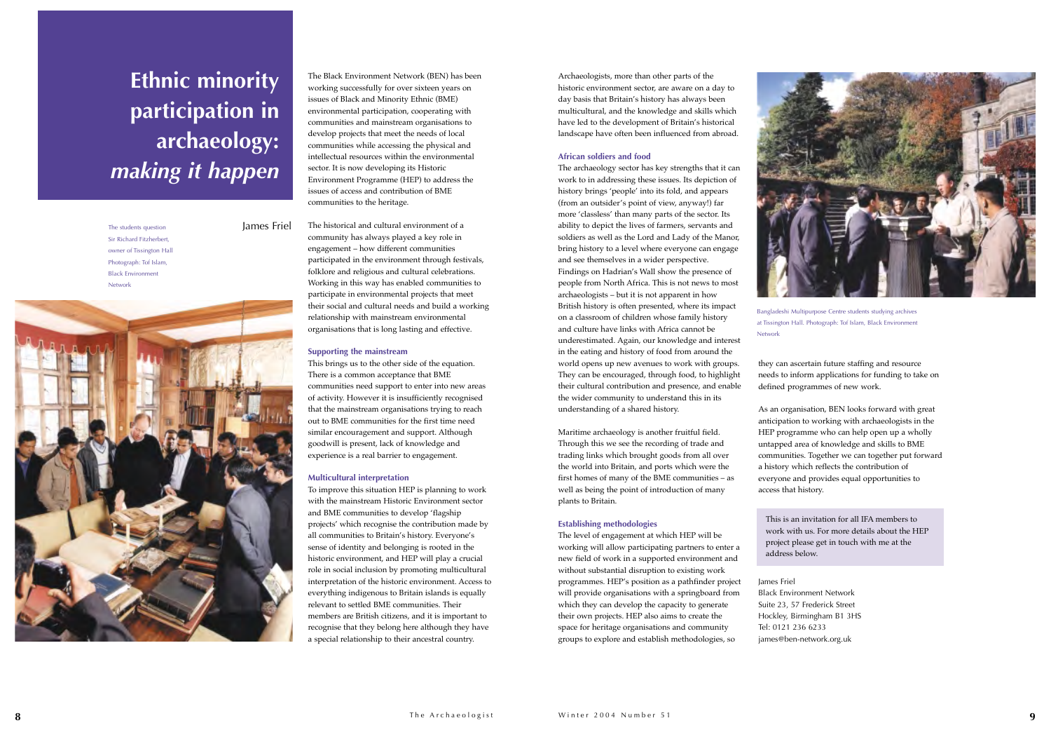Bangladeshi Multipurpose Centre students studying archives at Tissington Hall. Photograph: Tof Islam, Black Environment

Network

The Black Environment Network (BEN) has been working successfully for over sixteen years on issues of Black and Minority Ethnic (BME) environmental participation, cooperating with communities and mainstream organisations to develop projects that meet the needs of local communities while accessing the physical and intellectual resources within the environmental sector. It is now developing its Historic Environment Programme (HEP) to address the issues of access and contribution of BME communities to the heritage.

## The historical and cultural environment of a

community has always played a key role in engagement – how different communities participated in the environment through festivals, folklore and religious and cultural celebrations. Working in this way has enabled communities to participate in environmental projects that meet their social and cultural needs and build a working relationship with mainstream environmental organisations that is long lasting and effective.

## **Supporting the mainstream**

This brings us to the other side of the equation. There is a common acceptance that BME communities need support to enter into new areas of activity. However it is insufficiently recognised that the mainstream organisations trying to reach out to BME communities for the first time need similar encouragement and support. Although goodwill is present, lack of knowledge and experience is a real barrier to engagement.

## **Multicultural interpretation**

To improve this situation HEP is planning to work with the mainstream Historic Environment sector and BME communities to develop 'flagship projects' which recognise the contribution made by all communities to Britain's history. Everyone's sense of identity and belonging is rooted in the historic environment, and HEP will play a crucial role in social inclusion by promoting multicultural interpretation of the historic environment. Access to everything indigenous to Britain islands is equally relevant to settled BME communities. Their members are British citizens, and it is important to recognise that they belong here although they have a special relationship to their ancestral country.

Archaeologists, more than other parts of the historic environment sector, are aware on a day to day basis that Britain's history has always been multicultural, and the knowledge and skills which have led to the development of Britain's historical landscape have often been influenced from abroad.

### **African soldiers and food**

The students question **James Friel** Sir Richard Fitzherbert, owner of Tissington Hall Photograph: Tof Islam, Black Environment Network



The archaeology sector has key strengths that it can work to in addressing these issues. Its depiction of history brings 'people' into its fold, and appears (from an outsider's point of view, anyway!) far more 'classless' than many parts of the sector. Its ability to depict the lives of farmers, servants and soldiers as well as the Lord and Lady of the Manor, bring history to a level where everyone can engage and see themselves in a wider perspective. Findings on Hadrian's Wall show the presence of people from North Africa. This is not news to most archaeologists – but it is not apparent in how British history is often presented, where its impact on a classroom of children whose family history and culture have links with Africa cannot be underestimated. Again, our knowledge and interest in the eating and history of food from around the world opens up new avenues to work with groups. They can be encouraged, through food, to highlight their cultural contribution and presence, and enable the wider community to understand this in its understanding of a shared history.

Maritime archaeology is another fruitful field. Through this we see the recording of trade and trading links which brought goods from all over the world into Britain, and ports which were the first homes of many of the BME communities – as well as being the point of introduction of many plants to Britain.

### **Establishing methodologies**

The level of engagement at which HEP will be working will allow participating partners to enter a new field of work in a supported environment and without substantial disruption to existing work programmes. HEP's position as a pathfinder project will provide organisations with a springboard from which they can develop the capacity to generate their own projects. HEP also aims to create the space for heritage organisations and community groups to explore and establish methodologies, so



they can ascertain future staffing and resource needs to inform applications for funding to take on defined programmes of new work.

As an organisation, BEN looks forward with great anticipation to working with archaeologists in the HEP programme who can help open up a wholly untapped area of knowledge and skills to BME communities. Together we can together put forward a history which reflects the contribution of everyone and provides equal opportunities to

access that history.

This is an invitation for all IFA members to work with us. For more details about the HEP project please get in touch with me at the address below.

James Friel Black Environment Network Suite 23, 57 Frederick Street Hockley, Birmingham B1 3HS Tel: 0121 236 6233 james@ben-network.org.uk

## **Ethnic minority participation in archaeology:**  *making it happen*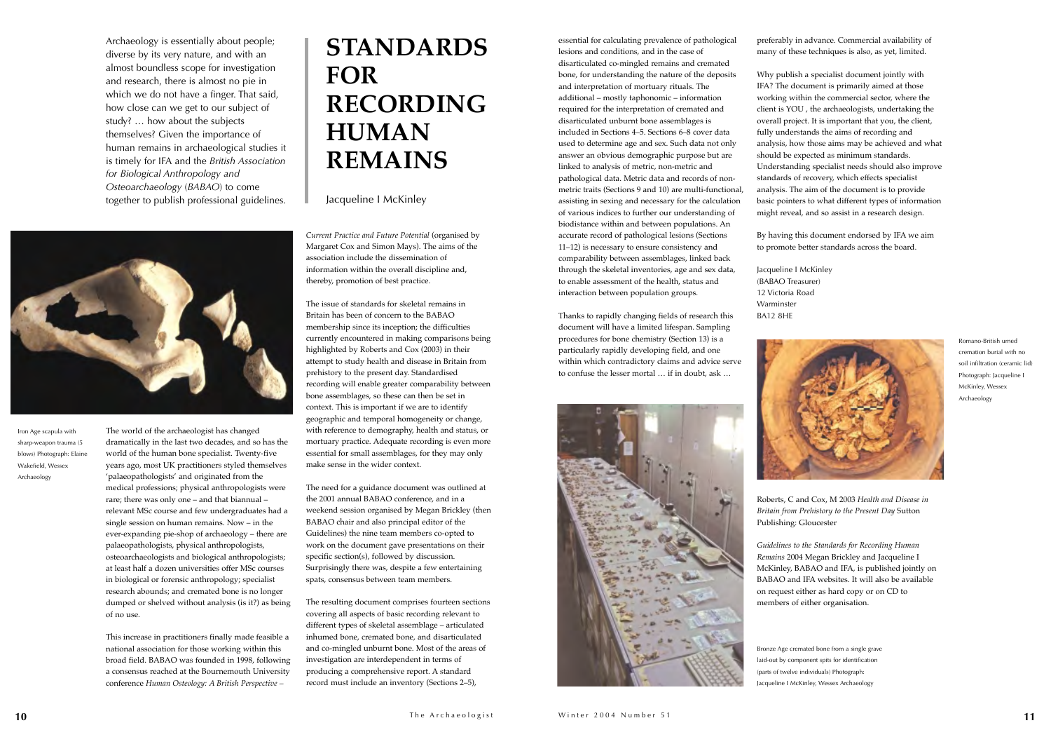Archaeology is essentially about people; diverse by its very nature, and with an almost boundless scope for investigation and research, there is almost no pie in which we do not have a finger. That said, how close can we get to our subject of study? … how about the subjects themselves? Given the importance of human remains in archaeological studies it is timely for IFA and the *British Association for Biological Anthropology and Osteoarchaeology* (*BABAO*) to come together to publish professional guidelines.



The world of the archaeologist has changed dramatically in the last two decades, and so has the world of the human bone specialist. Twenty-five years ago, most UK practitioners styled themselves 'palaeopathologists' and originated from the medical professions; physical anthropologists were rare; there was only one – and that biannual – relevant MSc course and few undergraduates had a single session on human remains. Now – in the ever-expanding pie-shop of archaeology – there are palaeopathologists, physical anthropologists, osteoarchaeologists and biological anthropologists; at least half a dozen universities offer MSc courses in biological or forensic anthropology; specialist research abounds; and cremated bone is no longer dumped or shelved without analysis (is it?) as being of no use.

This increase in practitioners finally made feasible a national association for those working within this broad field. BABAO was founded in 1998, following a consensus reached at the Bournemouth University conference *Human Osteology: A British Perspective –*

*Current Practice and Future Potential* (organised by Margaret Cox and Simon Mays). The aims of the association include the dissemination of information within the overall discipline and, thereby, promotion of best practice.

The issue of standards for skeletal remains in Britain has been of concern to the BABAO membership since its inception; the difficulties currently encountered in making comparisons being highlighted by Roberts and Cox (2003) in their attempt to study health and disease in Britain from prehistory to the present day. Standardised recording will enable greater comparability between bone assemblages, so these can then be set in context. This is important if we are to identify geographic and temporal homogeneity or change, with reference to demography, health and status, or mortuary practice. Adequate recording is even more essential for small assemblages, for they may only make sense in the wider context.

The need for a guidance document was outlined at the 2001 annual BABAO conference, and in a weekend session organised by Megan Brickley (then BABAO chair and also principal editor of the Guidelines) the nine team members co-opted to work on the document gave presentations on their specific section(s), followed by discussion. Surprisingly there was, despite a few entertaining spats, consensus between team members.

The resulting document comprises fourteen sections covering all aspects of basic recording relevant to different types of skeletal assemblage – articulated inhumed bone, cremated bone, and disarticulated and co-mingled unburnt bone. Most of the areas of investigation are interdependent in terms of producing a comprehensive report. A standard record must include an inventory (Sections 2–5),

essential for calculating prevalence of pathological lesions and conditions, and in the case of disarticulated co-mingled remains and cremated bone, for understanding the nature of the deposits and interpretation of mortuary rituals. The additional – mostly taphonomic – information required for the interpretation of cremated and disarticulated unburnt bone assemblages is included in Sections 4–5. Sections 6–8 cover data used to determine age and sex. Such data not only answer an obvious demographic purpose but are linked to analysis of metric, non-metric and pathological data. Metric data and records of nonmetric traits (Sections 9 and 10) are multi-functional, assisting in sexing and necessary for the calculation of various indices to further our understanding of biodistance within and between populations. An accurate record of pathological lesions (Sections 11–12) is necessary to ensure consistency and comparability between assemblages, linked back through the skeletal inventories, age and sex data, to enable assessment of the health, status and interaction between population groups.

Thanks to rapidly changing fields of research this document will have a limited lifespan. Sampling procedures for bone chemistry (Section 13) is a particularly rapidly developing field, and one within which contradictory claims and advice serve to confuse the lesser mortal … if in doubt, ask …



preferably in advance. Commercial availability of many of these techniques is also, as yet, limited.



Why publish a specialist document jointly with IFA? The document is primarily aimed at those working within the commercial sector, where the client is YOU , the archaeologists, undertaking the overall project. It is important that you, the client, fully understands the aims of recording and analysis, how those aims may be achieved and what should be expected as minimum standards. Understanding specialist needs should also improve standards of recovery, which effects specialist analysis. The aim of the document is to provide basic pointers to what different types of information might reveal, and so assist in a research design.

By having this document endorsed by IFA we aim to promote better standards across the board.

Jacqueline I McKinley (BABAO Treasurer) 12 Victoria Road Warminster BA12 8HE



Roberts, C and Cox, M 2003 *Health and Disease in Britain from Prehistory to the Present Day* Sutton Publishing: Gloucester

*Guidelines to the Standards for Recording Human Remains* 2004 Megan Brickley and Jacqueline I McKinley, BABAO and IFA, is published jointly on BABAO and IFA websites. It will also be available on request either as hard copy or on CD to members of either organisation.

Iron Age scapula with sharp-weapon trauma (5 blows) Photograph: Elaine Wakefield, Wessex Archaeology

Romano-British urned cremation burial with no soil infiltration (ceramic lid) Photograph: Jacqueline I McKinley, Wessex Archaeology

Bronze Age cremated bone from a single grave laid-out by component spits for identification (parts of twelve individuals) Photograph: Jacqueline I McKinley, Wessex Archaeology

## **STANDARDS FOR RECORDING HUMAN REMAINS**

Jacqueline I McKinley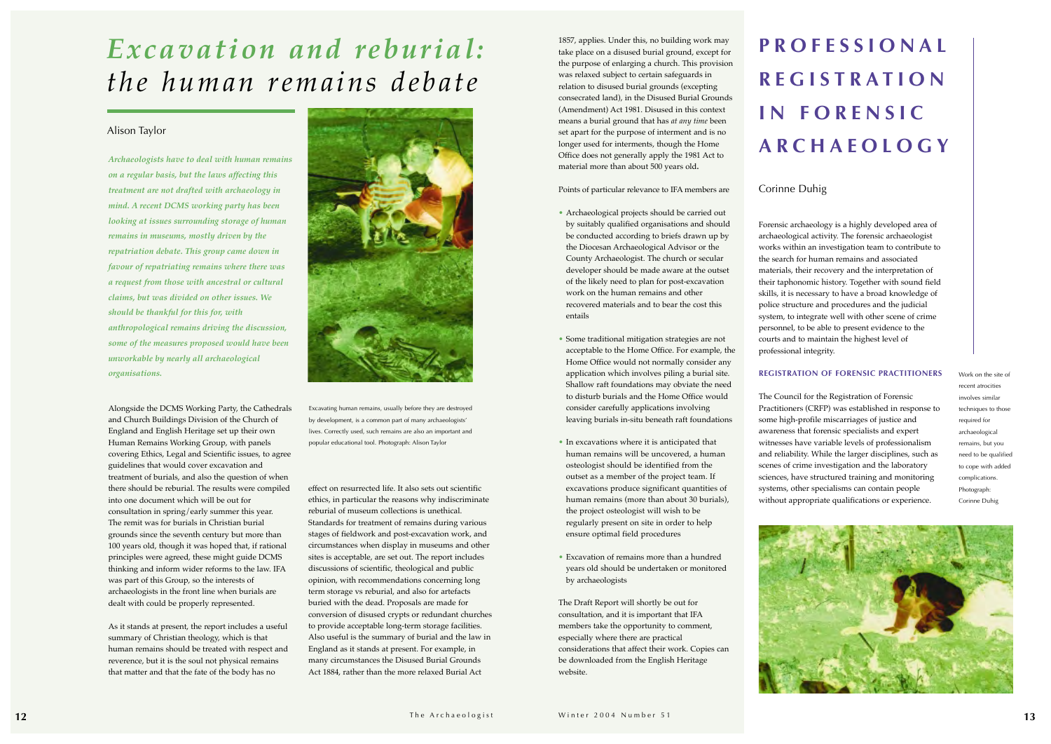Excavating human remains, usually before they are destroyed by development, is a common part of many archaeologists' lives. Correctly used, such remains are also an important and popular educational tool. Photograph: Alison Taylor

*Archaeologists have to deal with human remains on a regular basis, but the laws affecting this treatment are not drafted with archaeology in mind. A recent DCMS working party has been looking at issues surrounding storage of human remains in museums, mostly driven by the repatriation debate. This group came down in favour of repatriating remains where there was a request from those with ancestral or cultural claims, but was divided on other issues. We should be thankful for this for, with anthropological remains driving the discussion, some of the measures proposed would have been unworkable by nearly all archaeological organisations.*

Alongside the DCMS Working Party, the Cathedrals and Church Buildings Division of the Church of England and English Heritage set up their own Human Remains Working Group, with panels covering Ethics, Legal and Scientific issues, to agree guidelines that would cover excavation and treatment of burials, and also the question of when there should be reburial. The results were compiled into one document which will be out for consultation in spring/early summer this year. The remit was for burials in Christian burial grounds since the seventh century but more than 100 years old, though it was hoped that, if rational principles were agreed, these might guide DCMS thinking and inform wider reforms to the law. IFA was part of this Group, so the interests of archaeologists in the front line when burials are dealt with could be properly represented.

As it stands at present, the report includes a useful summary of Christian theology, which is that human remains should be treated with respect and reverence, but it is the soul not physical remains that matter and that the fate of the body has no



effect on resurrected life. It also sets out scientific ethics, in particular the reasons why indiscriminate reburial of museum collections is unethical. Standards for treatment of remains during various stages of fieldwork and post-excavation work, and circumstances when display in museums and other sites is acceptable, are set out. The report includes discussions of scientific, theological and public opinion, with recommendations concerning long term storage vs reburial, and also for artefacts buried with the dead. Proposals are made for conversion of disused crypts or redundant churches to provide acceptable long-term storage facilities. Also useful is the summary of burial and the law in England as it stands at present. For example, in many circumstances the Disused Burial Grounds Act 1884, rather than the more relaxed Burial Act

## *Excavation and reburial: the human remains debate*

## Alison Taylor

1857, applies. Under this, no building work may take place on a disused burial ground, except for the purpose of enlarging a church. This provision was relaxed subject to certain safeguards in relation to disused burial grounds (excepting consecrated land), in the Disused Burial Grounds (Amendment) Act 1981. Disused in this context means a burial ground that has *at any time* been set apart for the purpose of interment and is no longer used for interments, though the Home Office does not generally apply the 1981 Act to material more than about 500 years old**.** 

Points of particular relevance to IFA members are

- Archaeological projects should be carried out by suitably qualified organisations and should be conducted according to briefs drawn up by the Diocesan Archaeological Advisor or the County Archaeologist. The church or secular developer should be made aware at the outset of the likely need to plan for post-excavation work on the human remains and other recovered materials and to bear the cost this entails
- Some traditional mitigation strategies are not acceptable to the Home Office. For example, the Home Office would not normally consider any application which involves piling a burial site. Shallow raft foundations may obviate the need to disturb burials and the Home Office would consider carefully applications involving leaving burials in-situ beneath raft foundations
- In excavations where it is anticipated that human remains will be uncovered, a human osteologist should be identified from the outset as a member of the project team. If excavations produce significant quantities of human remains (more than about 30 burials), the project osteologist will wish to be regularly present on site in order to help ensure optimal field procedures
- Excavation of remains more than a hundred years old should be undertaken or monitored by archaeologists

The Draft Report will shortly be out for consultation, and it is important that IFA members take the opportunity to comment, especially where there are practical considerations that affect their work. Copies can be downloaded from the English Heritage website.

## **PROFESSIONAL REGISTRATION IN FORENSIC ARCHAEOLOGY**

## Corinne Duhig

Forensic archaeology is a highly developed area of archaeological activity. The forensic archaeologist works within an investigation team to contribute to the search for human remains and associated materials, their recovery and the interpretation of their taphonomic history. Together with sound field skills, it is necessary to have a broad knowledge of police structure and procedures and the judicial system, to integrate well with other scene of crime personnel, to be able to present evidence to the courts and to maintain the highest level of professional integrity.



## **REGISTRATION OF FORENSIC PRACTITIONERS**

The Council for the Registration of Forensic Practitioners (CRFP) was established in response to some high-profile miscarriages of justice and awareness that forensic specialists and expert witnesses have variable levels of professionalism and reliability. While the larger disciplines, such as scenes of crime investigation and the laboratory sciences, have structured training and monitoring systems, other specialisms can contain people without appropriate qualifications or experience.

Work on the site of recent atrocities involves similar techniques to those required for archaeological remains, but you need to be qualified to cope with added complications. Photograph: Corinne Duhig

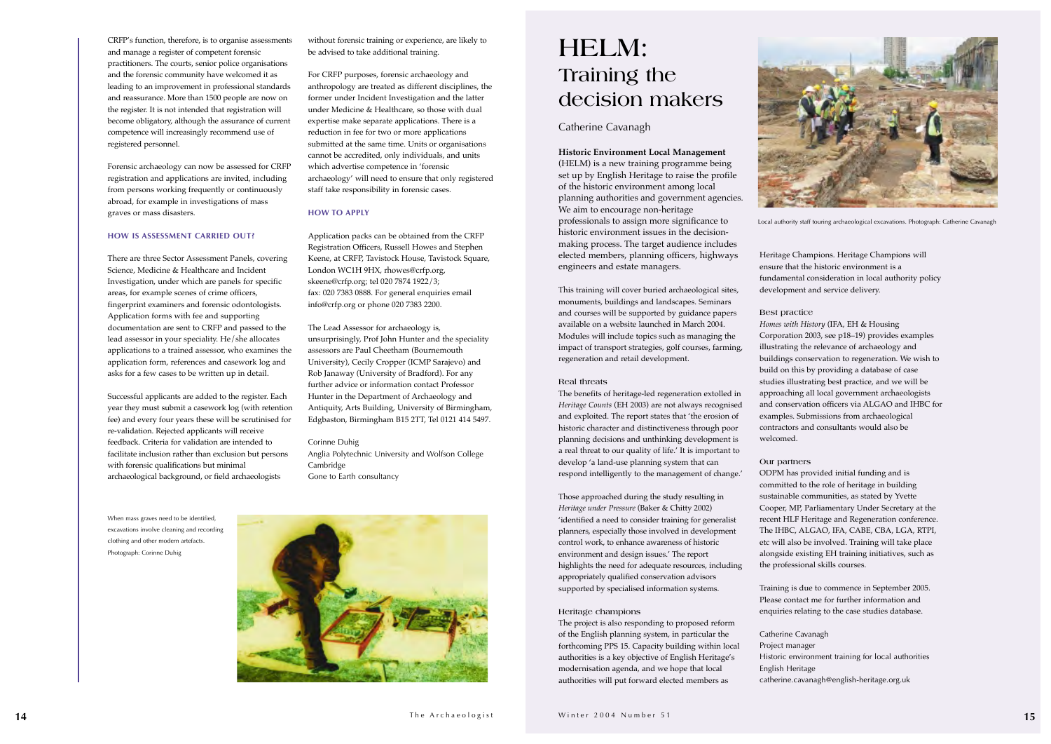CRFP's function, therefore, is to organise assessments and manage a register of competent forensic practitioners. The courts, senior police organisations and the forensic community have welcomed it as leading to an improvement in professional standards and reassurance. More than 1500 people are now on the register. It is not intended that registration will become obligatory, although the assurance of current competence will increasingly recommend use of registered personnel.

Forensic archaeology can now be assessed for CRFP registration and applications are invited, including from persons working frequently or continuously abroad, for example in investigations of mass graves or mass disasters.

### **HOW IS ASSESSMENT CARRIED OUT?**

There are three Sector Assessment Panels, covering Science, Medicine & Healthcare and Incident Investigation, under which are panels for specific areas, for example scenes of crime officers, fingerprint examiners and forensic odontologists. Application forms with fee and supporting documentation are sent to CRFP and passed to the lead assessor in your speciality. He/she allocates applications to a trained assessor, who examines the application form, references and casework log and asks for a few cases to be written up in detail.

Successful applicants are added to the register. Each year they must submit a casework log (with retention fee) and every four years these will be scrutinised for re-validation. Rejected applicants will receive feedback. Criteria for validation are intended to facilitate inclusion rather than exclusion but persons with forensic qualifications but minimal archaeological background, or field archaeologists

## **Historic Environment Local Management**

(HELM) is a new training programme being set up by English Heritage to raise the profile of the historic environment among local planning authorities and government agencies. We aim to encourage non-heritage

professionals to assign more significance to historic environment issues in the decisionmaking process. The target audience includes elected members, planning officers, highways engineers and estate managers.

This training will cover buried archaeological sites, monuments, buildings and landscapes. Seminars and courses will be supported by guidance papers available on a website launched in March 2004. Modules will include topics such as managing the impact of transport strategies, golf courses, farming, regeneration and retail development.

### **Real threats**

The benefits of heritage-led regeneration extolled in *Heritage Counts* (EH 2003) are not always recognised and exploited. The report states that 'the erosion of historic character and distinctiveness through poor planning decisions and unthinking development is a real threat to our quality of life.' It is important to develop 'a land-use planning system that can respond intelligently to the management of change.'

Those approached during the study resulting in *Heritage under Pressure* (Baker & Chitty 2002) 'identified a need to consider training for generalist planners, especially those involved in development control work, to enhance awareness of historic environment and design issues.' The report highlights the need for adequate resources, including appropriately qualified conservation advisors supported by specialised information systems.

### **Heritage champions**

The project is also responding to proposed reform of the English planning system, in particular the forthcoming PPS 15. Capacity building within local authorities is a key objective of English Heritage's modernisation agenda, and we hope that local authorities will put forward elected members as

Heritage Champions. Heritage Champions will ensure that the historic environment is a fundamental consideration in local authority policy development and service delivery.

## **Best practice**

*Homes with History* (IFA, EH & Housing Corporation 2003, see p18–19) provides examples illustrating the relevance of archaeology and buildings conservation to regeneration. We wish to build on this by providing a database of case studies illustrating best practice, and we will be approaching all local government archaeologists and conservation officers via ALGAO and IHBC for examples. Submissions from archaeological contractors and consultants would also be

welcomed.

## **Our partners**

ODPM has provided initial funding and is committed to the role of heritage in building sustainable communities, as stated by Yvette Cooper, MP, Parliamentary Under Secretary at the recent HLF Heritage and Regeneration conference. The IHBC, ALGAO, IFA, CABE, CBA, LGA, RTPI, etc will also be involved. Training will take place alongside existing EH training initiatives, such as the professional skills courses.

Training is due to commence in September 2005. Please contact me for further information and enquiries relating to the case studies database.

Project manager English Heritage

- Catherine Cavanagh
	-
- Historic environment training for local authorities
- catherine.cavanagh@english-heritage.org.uk

When mass graves need to be identified, excavations involve cleaning and recording clothing and other modern artefacts. Photograph: Corinne Duhig





Local authority staff touring archaeological excavations. Photograph: Catherine Cavanagh

## **HELM: Training the decision makers**

## Catherine Cavanagh

without forensic training or experience, are likely to be advised to take additional training.

For CRFP purposes, forensic archaeology and anthropology are treated as different disciplines, the former under Incident Investigation and the latter under Medicine & Healthcare, so those with dual expertise make separate applications. There is a reduction in fee for two or more applications submitted at the same time. Units or organisations cannot be accredited, only individuals, and units which advertise competence in 'forensic archaeology' will need to ensure that only registered staff take responsibility in forensic cases.

## **HOW TO APPLY**

Application packs can be obtained from the CRFP Registration Officers, Russell Howes and Stephen Keene, at CRFP, Tavistock House, Tavistock Square, London WC1H 9HX, rhowes@crfp.org, skeene@crfp.org; tel 020 7874 1922/3; fax: 020 7383 0888. For general enquiries email info@crfp.org or phone 020 7383 2200.

The Lead Assessor for archaeology is, unsurprisingly, Prof John Hunter and the speciality assessors are Paul Cheetham (Bournemouth University), Cecily Cropper (ICMP Sarajevo) and Rob Janaway (University of Bradford). For any further advice or information contact Professor Hunter in the Department of Archaeology and Antiquity, Arts Building, University of Birmingham, Edgbaston, Birmingham B15 2TT, Tel 0121 414 5497.

## Corinne Duhig Anglia Polytechnic University and Wolfson College Cambridge

Gone to Earth consultancy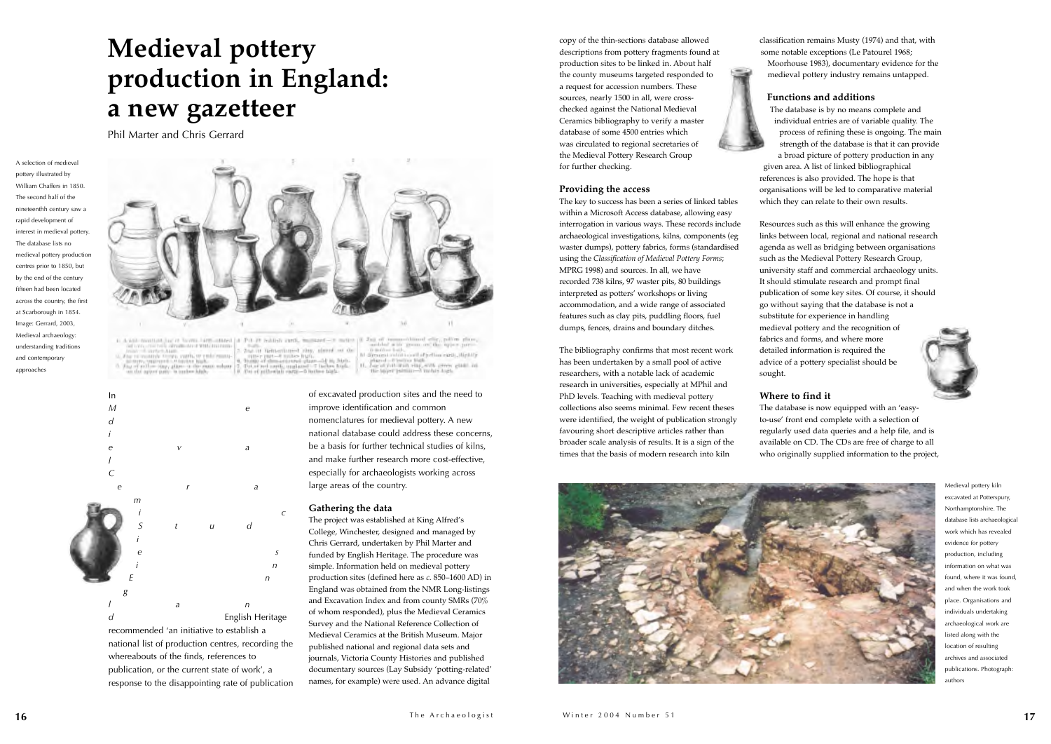

recommended 'an initiative to establish a national list of production centres, recording the whereabouts of the finds, references to publication, or the current state of work', a response to the disappointing rate of publication of excavated production sites and the need to improve identification and common nomenclatures for medieval pottery. A new national database could address these concerns, be a basis for further technical studies of kilns, and make further research more cost-effective, especially for archaeologists working across large areas of the country.

## **Gathering the data**

The project was established at King Alfred's College, Winchester, designed and managed by Chris Gerrard, undertaken by Phil Marter and funded by English Heritage. The procedure was simple. Information held on medieval pottery production sites (defined here as *c*. 850–1600 AD) in England was obtained from the NMR Long-listings and Excavation Index and from county SMRs (70% of whom responded), plus the Medieval Ceramics Survey and the National Reference Collection of Medieval Ceramics at the British Museum. Major published national and regional data sets and journals, Victoria County Histories and published documentary sources (Lay Subsidy 'potting-related' names, for example) were used. An advance digital

copy of the thin-sections database allowed descriptions from pottery fragments found at production sites to be linked in. About half the county museums targeted responded to a request for accession numbers. These sources, nearly 1500 in all, were crosschecked against the National Medieval Ceramics bibliography to verify a master database of some 4500 entries which was circulated to regional secretaries of the Medieval Pottery Research Group for further checking.

## **Providing the access**

The key to success has been a series of linked tables within a Microsoft Access database, allowing easy interrogation in various ways. These records include archaeological investigations, kilns, components (eg waster dumps), pottery fabrics, forms (standardised using the *Classification of Medieval Pottery Forms*; MPRG 1998) and sources. In all, we have recorded 738 kilns, 97 waster pits, 80 buildings interpreted as potters' workshops or living accommodation, and a wide range of associated features such as clay pits, puddling floors, fuel dumps, fences, drains and boundary ditches.

The bibliography confirms that most recent work has been undertaken by a small pool of active researchers, with a notable lack of academic research in universities, especially at MPhil and PhD levels. Teaching with medieval pottery collections also seems minimal. Few recent theses were identified, the weight of publication strongly favouring short descriptive articles rather than broader scale analysis of results. It is a sign of the times that the basis of modern research into kiln

classification remains Musty (1974) and that, with some notable exceptions (Le Patourel 1968; Moorhouse 1983), documentary evidence for the medieval pottery industry remains untapped.

## **Functions and additions**



The database is by no means complete and individual entries are of variable quality. The process of refining these is ongoing. The main strength of the database is that it can provide a broad picture of pottery production in any given area. A list of linked bibliographical references is also provided. The hope is that organisations will be led to comparative material which they can relate to their own results.

Resources such as this will enhance the growing links between local, regional and national research agenda as well as bridging between organisations such as the Medieval Pottery Research Group, university staff and commercial archaeology units. It should stimulate research and prompt final publication of some key sites. Of course, it should go without saying that the database is not a substitute for experience in handling medieval pottery and the recognition of fabrics and forms, and where more detailed information is required the advice of a pottery specialist should be sought.



## **Where to find it**

The database is now equipped with an 'easyto-use' front end complete with a selection of regularly used data queries and a help file, and is available on CD. The CDs are free of charge to all who originally supplied information to the project,

> Medieval pottery kiln excavated at Potterspury, Northamptonshire. The database lists archaeological work which has revealed evidence for pottery production, including information on what was found, where it was found, and when the work took place. Organisations and individuals undertaking archaeological work are listed along with the location of resulting archives and associated publications. Photograph: authors

A selection of medieval pottery illustrated by William Chaffers in 1850. The second half of the nineteenthh century saw a rapid development of interest in medieval pottery. The database lists no medieval pottery production centres prior to 1850, but by the end of the century fifteen had been located across the country, the first at Scarborough in 1854. Image: Gerrard, 2003, Medieval archaeology: understanding traditions and contemporary approaches



## **Medieval pottery production in England: a new gazetteer**

Phil Marter and Chris Gerrard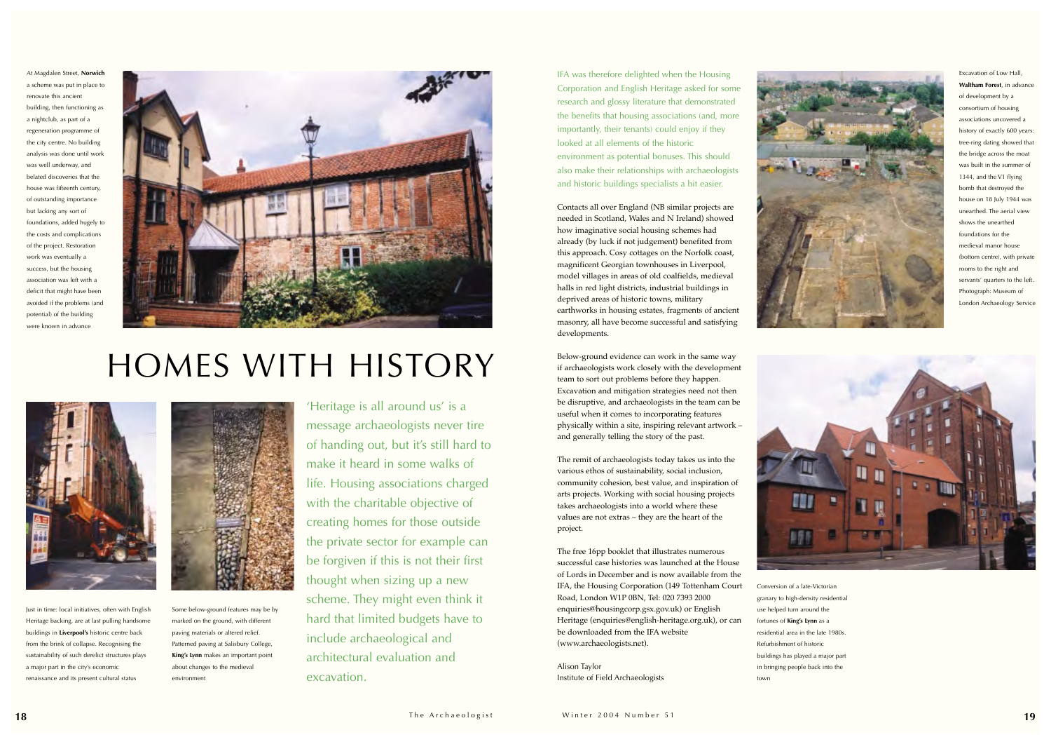

'Heritage is all around us' is a message archaeologists never tire of handing out, but it's still hard to make it heard in some walks of life. Housing associations charged with the charitable objective of creating homes for those outside the private sector for example can be forgiven if this is not their first thought when sizing up a new scheme. They might even think it hard that limited budgets have to include archaeological and architectural evaluation and excavation.

IFA was therefore delighted when the Housing Corporation and English Heritage asked for some research and glossy literature that demonstrated the benefits that housing associations (and, more importantly, their tenants) could enjoy if they looked at all elements of the historic environment as potential bonuses. This should also make their relationships with archaeologists and historic buildings specialists a bit easier.

Contacts all over England (NB similar projects are needed in Scotland, Wales and N Ireland) showed how imaginative social housing schemes had already (by luck if not judgement) benefited from this approach. Cosy cottages on the Norfolk coast, magnificent Georgian townhouses in Liverpool, model villages in areas of old coalfields, medieval halls in red light districts, industrial buildings in deprived areas of historic towns, military earthworks in housing estates, fragments of ancient masonry, all have become successful and satisfying developments.

Below-ground evidence can work in the same way if archaeologists work closely with the development team to sort out problems before they happen. Excavation and mitigation strategies need not then be disruptive, and archaeologists in the team can be useful when it comes to incorporating features physically within a site, inspiring relevant artwork – and generally telling the story of the past.

The remit of archaeologists today takes us into the various ethos of sustainability, social inclusion, community cohesion, best value, and inspiration of arts projects. Working with social housing projects takes archaeologists into a world where these values are not extras – they are the heart of the project.

The free 16pp booklet that illustrates numerous successful case histories was launched at the House of Lords in December and is now available from the IFA, the Housing Corporation (149 Tottenham Court Road, London W1P 0BN, Tel: 020 7393 2000 enquiries@housingcorp.gsx.gov.uk) or English Heritage (enquiries@english-heritage.org.uk), or can be downloaded from the IFA website (www.archaeologists.net).

Alison Taylor Institute of Field Archaeologists



## HOMES WITH HISTORY



Excavation of Low Hall, **Waltham Forest**, in advance of development by a consortium of housing associations uncovered a history of exactly 600 years: tree-ring dating showed that the bridge across the moat was built in the summer of 1344, and the V1 flying bomb that destroyed the house on 18 July 1944 was unearthed. The aerial view shows the unearthed foundations for the medieval manor house (bottom centre), with private rooms to the right and servants' quarters to the left. Photograph: Museum of London Archaeology Service



Conversion of a late-Victorian granary to high-density residential residential area in the late 1980s.

use helped turn around the fortunes of **King's Lynn** as a Refurbishment of historic buildings has played a major part in bringing people back into the town

Some below-ground features may be by marked on the ground, with different paving materials or altered relief. Patterned paving at Salisbury College, **King's Lynn** makes an important point about changes to the medieval environment

Just in time: local initiatives, often with English Heritage backing, are at last pulling handsome buildings in **Liverpool's** historic centre back from the brink of collapse. Recognising the sustainability of such derelict structures plays a major part in the city's economic renaissance and its present cultural status



At Magdalen Street, **Norwich** a scheme was put in place to renovate this ancient building, then functioning as a nightclub, as part of a regeneration programme of the city centre. No building analysis was done until work was well underway, and belated discoveries that the house was fifteenth century, of outstanding importance but lacking any sort of foundations, added hugely to the costs and complications of the project. Restoration work was eventually a success, but the housing association was left with a deficit that might have been avoided if the problems (and potential) of the building were known in advance

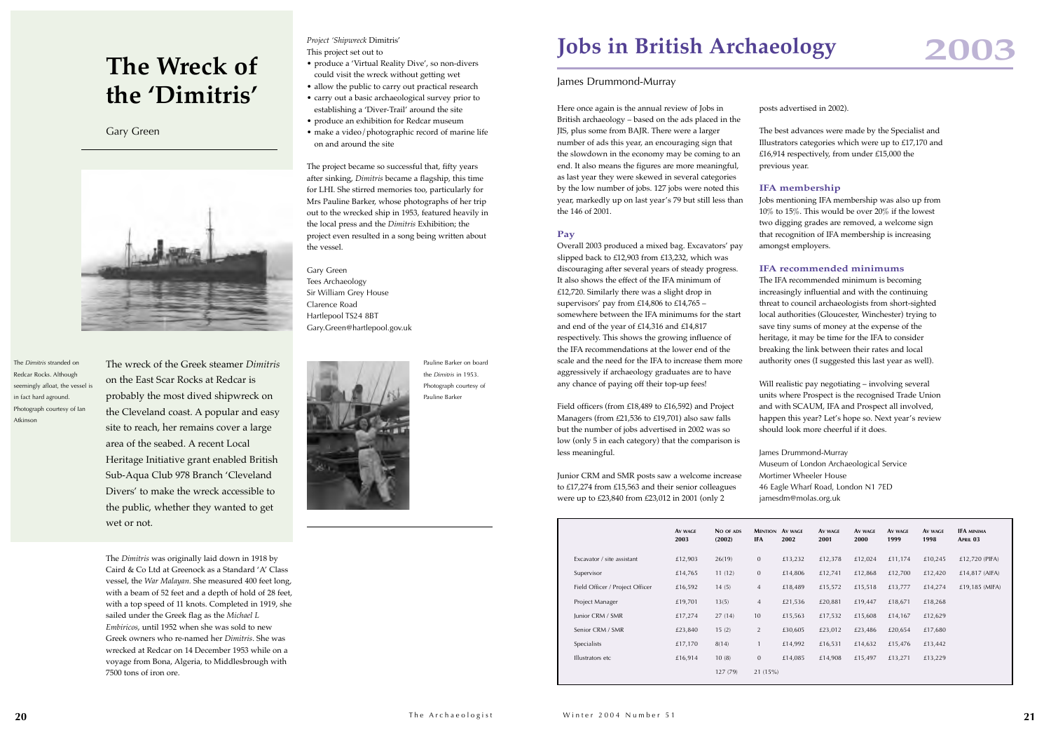Here once again is the annual review of Jobs in British archaeology – based on the ads placed in the JIS, plus some from BAJR. There were a larger number of ads this year, an encouraging sign that the slowdown in the economy may be coming to an end. It also means the figures are more meaningful, as last year they were skewed in several categories by the low number of jobs. 127 jobs were noted this year, markedly up on last year's 79 but still less than the 146 of 2001.

## **Pay**

Overall 2003 produced a mixed bag. Excavators' pay slipped back to £12,903 from £13,232, which was discouraging after several years of steady progress. It also shows the effect of the IFA minimum of £12,720. Similarly there was a slight drop in supervisors' pay from £14,806 to £14,765 – somewhere between the IFA minimums for the start and end of the year of £14,316 and £14,817 respectively. This shows the growing influence of the IFA recommendations at the lower end of the scale and the need for the IFA to increase them more aggressively if archaeology graduates are to have any chance of paying off their top-up fees!

Field officers (from £18,489 to £16,592) and Project Managers (from £21,536 to £19,701) also saw falls but the number of jobs advertised in 2002 was so low (only 5 in each category) that the comparison is less meaningful.

Will realistic pay negotiating – involving several units where Prospect is the recognised Trade Union and with SCAUM, IFA and Prospect all involved, happen this year? Let's hope so. Next year's review should look more cheerful if it does.

Junior CRM and SMR posts saw a welcome increase to £17,274 from £15,563 and their senior colleagues were up to £23,840 from £23,012 in 2001 (only 2

posts advertised in 2002).

The best advances were made by the Specialist and Illustrators categories which were up to £17,170 and £16,914 respectively, from under £15,000 the previous year.

## **IFA membership**

Jobs mentioning IFA membership was also up from 10% to 15%. This would be over 20% if the lowest two digging grades are removed, a welcome sign that recognition of IFA membership is increasing amongst employers.

## **IFA recommended minimums**

The IFA recommended minimum is becoming increasingly influential and with the continuing threat to council archaeologists from short-sighted local authorities (Gloucester, Winchester) trying to save tiny sums of money at the expense of the heritage, it may be time for the IFA to consider breaking the link between their rates and local authority ones (I suggested this last year as well).

James Drummond-Murray

Museum of London Archaeological Service Mortimer Wheeler House 46 Eagle Wharf Road, London N1 7ED jamesdm@molas.org.uk

Winter 2004 Number 51

|                                 | AV WAGE<br>2003 | NO OF ADS<br>(2002) | <b>MENTION AV WAGE</b><br>IFA | 2002    | AV WAGE<br>2001 | AV WAGE<br>2000 | AV WAGE<br>1999 | AV WAGE<br>1998 | <b>IFA MINIMA</b><br>APRIL 03 |
|---------------------------------|-----------------|---------------------|-------------------------------|---------|-----------------|-----------------|-----------------|-----------------|-------------------------------|
| Excavator / site assistant      | £12,903         | 26(19)              | $\mathbf{0}$                  | £13,232 | £12,378         | £12,024         | £11,174         | £10,245         | £12,720 (PIFA)                |
| Supervisor                      | £14,765         | 11(12)              | $\mathbf{0}$                  | £14,806 | £12,741         | £12,868         | £12,700         | £12,420         | £14,817 (AIFA)                |
| Field Officer / Project Officer | £16,592         | 14(5)               | 4                             | £18,489 | £15,572         | £15,518         | £13,777         | £14,274         | £19,185 (MIFA)                |
| Project Manager                 | £19,701         | 13(5)               | $\overline{4}$                | £21,536 | £20,881         | £19,447         | £18,671         | £18,268         |                               |
| Junior CRM / SMR                | £17,274         | 27(14)              | 10                            | £15,563 | £17,532         | £15,608         | £14,167         | £12,629         |                               |
| Senior CRM / SMR                | £23,840         | 15(2)               | $\overline{2}$                | £30,605 | £23,012         | £23,486         | £20,654         | £17,680         |                               |
| Specialists                     | £17,170         | 8(14)               |                               | £14,992 | £16,531         | £14,632         | £15,476         | £13,442         |                               |
| Illustrators etc                | £16,914         | 10(8)               | $\overline{0}$                | £14,085 | £14,908         | £15,497         | £13,271         | £13,229         |                               |
|                                 |                 | 127 (79)            | 21(15%)                       |         |                 |                 |                 |                 |                               |

## James Drummond-Murray





The wreck of the Greek steamer *Dimitris* on the East Scar Rocks at Redcar is probably the most dived shipwreck on the Cleveland coast. A popular and easy site to reach, her remains cover a large area of the seabed. A recent Local Heritage Initiative grant enabled British Sub-Aqua Club 978 Branch 'Cleveland Divers' to make the wreck accessible to the public, whether they wanted to get wet or not.

The *Dimitris* was originally laid down in 1918 by Caird & Co Ltd at Greenock as a Standard 'A' Class vessel, the *War Malayan.* She measured 400 feet long, with a beam of 52 feet and a depth of hold of 28 feet, with a top speed of 11 knots. Completed in 1919, she sailed under the Greek flag as the *Michael L Embiricos*, until 1952 when she was sold to new Greek owners who re-named her *Dimitris*. She was wrecked at Redcar on 14 December 1953 while on a voyage from Bona, Algeria, to Middlesbrough with 7500 tons of iron ore.

*Project 'Shipwreck* Dimitris'

This project set out to

- produce a 'Virtual Reality Dive', so non-divers could visit the wreck without getting wet
- allow the public to carry out practical research
- carry out a basic archaeological survey prior to establishing a 'Diver-Trail' around the site
- produce an exhibition for Redcar museum
- make a video/photographic record of marine life on and around the site

The project became so successful that, fifty years after sinking, *Dimitris* became a flagship, this time for LHI. She stirred memories too, particularly for Mrs Pauline Barker, whose photographs of her trip out to the wrecked ship in 1953, featured heavily in the local press and the *Dimitris* Exhibition; the project even resulted in a song being written about the vessel.

Gary Green Tees Archaeology Sir William Grey House Clarence Road Hartlepool TS24 8BT Gary.Green@hartlepool.gov.uk



## **The Wreck of the 'Dimitris'**

Gary Green



The *Dimitris* stranded on Redcar Rocks. Although seemingly afloat, the vessel is in fact hard aground. Photograph courtesy of Ian Atkinson

Pauline Barker on board the *Dimitris* in 1953. Photograph courtesy of Pauline Barker

## **Jobs in British Archaeology**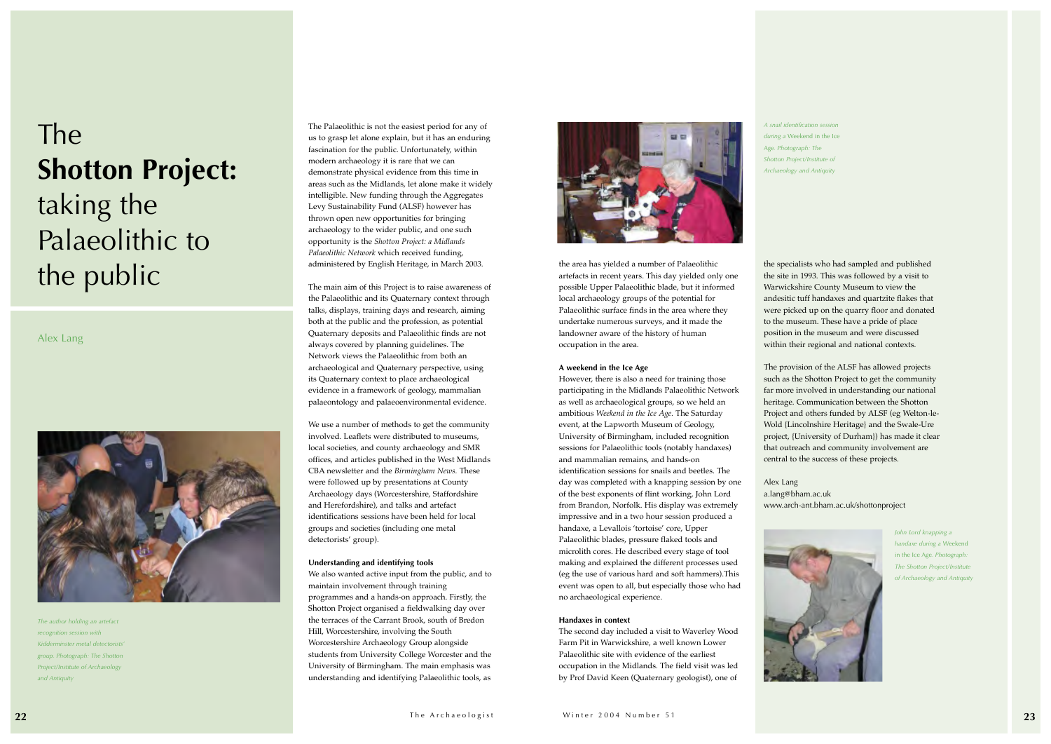The Palaeolithic is not the easiest period for any of us to grasp let alone explain, but it has an enduring fascination for the public. Unfortunately, within modern archaeology it is rare that we can demonstrate physical evidence from this time in areas such as the Midlands, let alone make it widely intelligible. New funding through the Aggregates Levy Sustainability Fund (ALSF) however has thrown open new opportunities for bringing archaeology to the wider public, and one such opportunity is the *Shotton Project: a Midlands Palaeolithic Network* which received funding, administered by English Heritage, in March 2003.

The main aim of this Project is to raise awareness of the Palaeolithic and its Quaternary context through talks, displays, training days and research, aiming both at the public and the profession, as potential Quaternary deposits and Palaeolithic finds are not always covered by planning guidelines. The Network views the Palaeolithic from both an archaeological and Quaternary perspective, using its Quaternary context to place archaeological evidence in a framework of geology, mammalian palaeontology and palaeoenvironmental evidence.

We use a number of methods to get the community involved. Leaflets were distributed to museums, local societies, and county archaeology and SMR offices, and articles published in the West Midlands CBA newsletter and the *Birmingham News.* These were followed up by presentations at County Archaeology days (Worcestershire, Staffordshire and Herefordshire), and talks and artefact identifications sessions have been held for local groups and societies (including one metal detectorists' group).

### **Understanding and identifying tools**

We also wanted active input from the public, and to maintain involvement through training programmes and a hands-on approach. Firstly, the Shotton Project organised a fieldwalking day over the terraces of the Carrant Brook, south of Bredon Hill, Worcestershire, involving the South Worcestershire Archaeology Group alongside students from University College Worcester and the University of Birmingham. The main emphasis was understanding and identifying Palaeolithic tools, as



the area has yielded a number of Palaeolithic artefacts in recent years. This day yielded only one possible Upper Palaeolithic blade, but it informed local archaeology groups of the potential for Palaeolithic surface finds in the area where they undertake numerous surveys, and it made the landowner aware of the history of human occupation in the area.

### **A weekend in the Ice Age**

However, there is also a need for training those participating in the Midlands Palaeolithic Network as well as archaeological groups, so we held an ambitious *Weekend in the Ice Age.* The Saturday event, at the Lapworth Museum of Geology, University of Birmingham, included recognition sessions for Palaeolithic tools (notably handaxes) and mammalian remains, and hands-on identification sessions for snails and beetles. The day was completed with a knapping session by one of the best exponents of flint working, John Lord from Brandon, Norfolk. His display was extremely impressive and in a two hour session produced a handaxe, a Levallois 'tortoise' core, Upper Palaeolithic blades, pressure flaked tools and microlith cores. He described every stage of tool making and explained the different processes used (eg the use of various hard and soft hammers).This event was open to all, but especially those who had no archaeological experience.

### **Handaxes in context**

The second day included a visit to Waverley Wood Farm Pit in Warwickshire, a well known Lower Palaeolithic site with evidence of the earliest occupation in the Midlands. The field visit was led by Prof David Keen (Quaternary geologist), one of

the specialists who had sampled and published the site in 1993. This was followed by a visit to Warwickshire County Museum to view the andesitic tuff handaxes and quartzite flakes that were picked up on the quarry floor and donated to the museum. These have a pride of place position in the museum and were discussed within their regional and national contexts.

The provision of the ALSF has allowed projects such as the Shotton Project to get the community far more involved in understanding our national heritage. Communication between the Shotton Project and others funded by ALSF (eg Welton-le-Wold {Lincolnshire Heritage} and the Swale-Ure project, {University of Durham}) has made it clear that outreach and community involvement are central to the success of these projects.



## Alex Lang a.lang@bham.ac.uk www.arch-ant.bham.ac.uk/shottonproject

## The **Shotton Project:** taking the Palaeolithic to the public

Alex Lang



*John Lord knapping a handaxe during a* Weekend in the Ice Age*. Photograph: The Shotton Project/Institute of Archaeology and Antiquity*

*A snail identification session*

*during a* Weekend in the Ice Age*. Photograph: The Shotton Project/Institute of Archaeology and Antiquity*

*The author holding an artefact recognition session with Kidderminster metal detectorists' group. Photograph: The Shotton Project/Institute of Archaeology and Antiquity*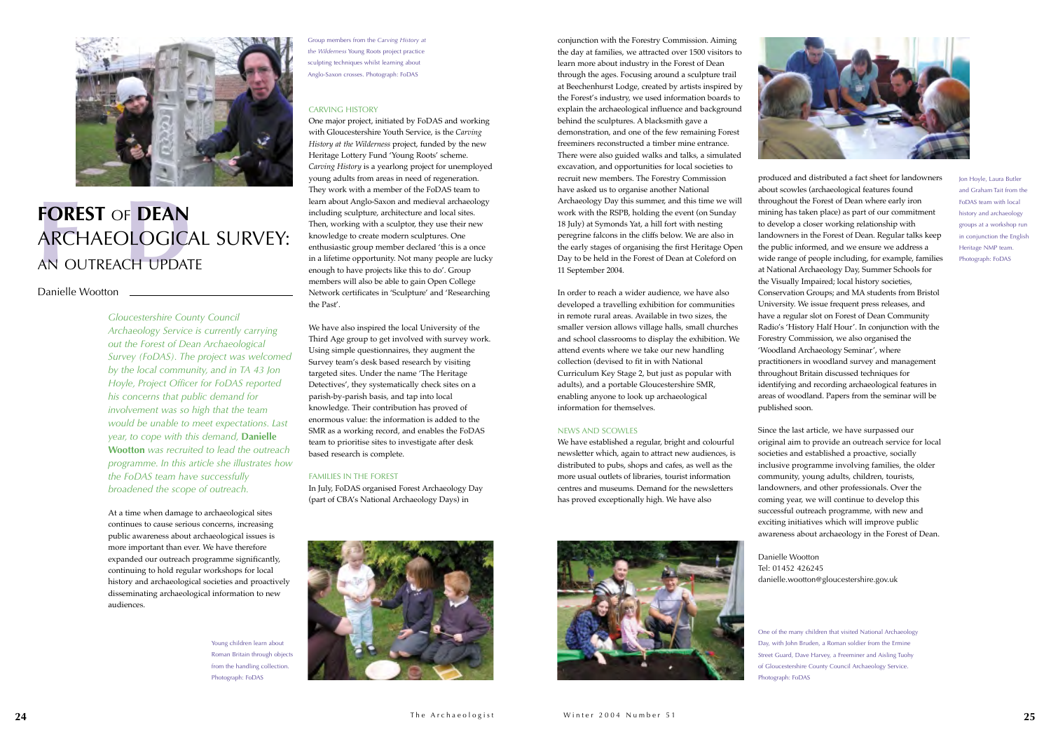*Gloucestershire County Council Archaeology Service is currently carrying out the Forest of Dean Archaeological Survey (FoDAS). The project was welcomed by the local community, and in TA 43 Jon Hoyle, Project Officer for FoDAS reported his concerns that public demand for involvement was so high that the team would be unable to meet expectations. Last year, to cope with this demand,* **Danielle Wootton** *was recruited to lead the outreach programme. In this article she illustrates how the FoDAS team have successfully broadened the scope of outreach.*

At a time when damage to archaeological sites continues to cause serious concerns, increasing public awareness about archaeological issues is more important than ever. We have therefore expanded our outreach programme significantly, continuing to hold regular workshops for local history and archaeological societies and proactively disseminating archaeological information to new audiences.

### CARVING HISTORY

One major project, initiated by FoDAS and working with Gloucestershire Youth Service, is the *Carving History at the Wilderness* project, funded by the new Heritage Lottery Fund 'Young Roots' scheme. *Carving History* is a yearlong project for unemployed young adults from areas in need of regeneration. They work with a member of the FoDAS team to learn about Anglo-Saxon and medieval archaeology including sculpture, architecture and local sites. Then, working with a sculptor, they use their new knowledge to create modern sculptures. One enthusiastic group member declared 'this is a once in a lifetime opportunity. Not many people are lucky enough to have projects like this to do'. Group members will also be able to gain Open College Network certificates in 'Sculpture' and 'Researching the Past'.

We have also inspired the local University of the Third Age group to get involved with survey work. Using simple questionnaires, they augment the Survey team's desk based research by visiting targeted sites. Under the name 'The Heritage Detectives', they systematically check sites on a parish-by-parish basis, and tap into local knowledge. Their contribution has proved of enormous value: the information is added to the SMR as a working record, and enables the FoDAS team to prioritise sites to investigate after desk based research is complete.

### FAMILIES IN THE FOREST

In July, FoDAS organised Forest Archaeology Day (part of CBA's National Archaeology Days) in



conjunction with the Forestry Commission. Aiming the day at families, we attracted over 1500 visitors to learn more about industry in the Forest of Dean through the ages. Focusing around a sculpture trail at Beechenhurst Lodge, created by artists inspired by the Forest's industry, we used information boards to explain the archaeological influence and background behind the sculptures. A blacksmith gave a demonstration, and one of the few remaining Forest freeminers reconstructed a timber mine entrance. There were also guided walks and talks, a simulated excavation, and opportunities for local societies to recruit new members. The Forestry Commission have asked us to organise another National Archaeology Day this summer, and this time we will work with the RSPB, holding the event (on Sunday 18 July) at Symonds Yat, a hill fort with nesting peregrine falcons in the cliffs below. We are also in the early stages of organising the first Heritage Open





## **FOREST** OF **DEAN**<br>ARCHAEOLOGICA ARCHAEOLOGICAL SURVEY: AN OUTREACH UPDATE

## Danielle Wootton \_

Day to be held in the Forest of Dean at Coleford on

11 September 2004.

In order to reach a wider audience, we have also developed a travelling exhibition for communities in remote rural areas. Available in two sizes, the smaller version allows village halls, small churches and school classrooms to display the exhibition. We attend events where we take our new handling collection (devised to fit in with National Curriculum Key Stage 2, but just as popular with adults), and a portable Gloucestershire SMR, enabling anyone to look up archaeological information for themselves.

## NEWS AND SCOWLES

We have established a regular, bright and colourful newsletter which, again to attract new audiences, is distributed to pubs, shops and cafes, as well as the more usual outlets of libraries, tourist information centres and museums. Demand for the newsletters has proved exceptionally high. We have also





produced and distributed a fact sheet for landowners about scowles (archaeological features found throughout the Forest of Dean where early iron mining has taken place) as part of our commitment to develop a closer working relationship with landowners in the Forest of Dean. Regular talks keep the public informed, and we ensure we address a wide range of people including, for example, families at National Archaeology Day, Summer Schools for the Visually Impaired; local history societies, Conservation Groups; and MA students from Bristol University. We issue frequent press releases, and have a regular slot on Forest of Dean Community Radio's 'History Half Hour'. In conjunction with the Forestry Commission, we also organised the 'Woodland Archaeology Seminar', where practitioners in woodland survey and management throughout Britain discussed techniques for identifying and recording archaeological features in areas of woodland. Papers from the seminar will be

published soon.

Since the last article, we have surpassed our original aim to provide an outreach service for local societies and established a proactive, socially inclusive programme involving families, the older community, young adults, children, tourists, landowners, and other professionals. Over the coming year, we will continue to develop this successful outreach programme, with new and exciting initiatives which will improve public awareness about archaeology in the Forest of Dean.

Tel: 01452 426245

Danielle Wootton danielle.wootton@gloucestershire.gov.uk

Jon Hoyle, Laura Butler and Graham Tait from the FoDAS team with local history and archaeology groups at a workshop run in conjunction the English Heritage NMP team. Photograph: FoDAS

Group members from the *Carving History at the Wilderness* Young Roots project practice sculpting techniques whilst learning about Anglo-Saxon crosses. Photograph: FoDAS

> One of the many children that visited National Archaeology Day, with John Bruden, a Roman soldier from the Ermine Street Guard, Dave Harvey, a Freeminer and Aisling Tuohy of Gloucestershire County Council Archaeology Service. Photograph: FoDAS

Young children learn about Roman Britain through objects from the handling collection. Photograph: FoDAS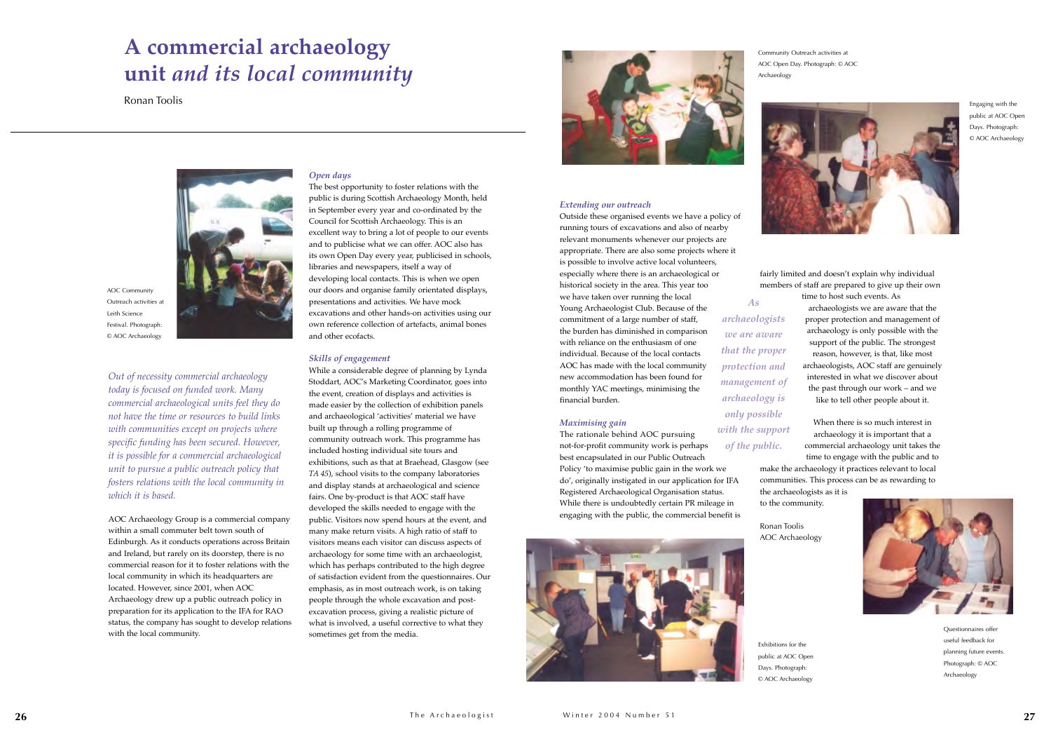*Out of necessity commercial archaeology today is focused on funded work. Many commercial archaeological units feel they do not have the time or resources to build links with communities except on projects where specific funding has been secured. However, it is possible for a commercial archaeological unit to pursue a public outreach policy that fosters relations with the local community in which it is based.* 

AOC Archaeology Group is a commercial company within a small commuter belt town south of Edinburgh. As it conducts operations across Britain and Ireland, but rarely on its doorstep, there is no commercial reason for it to foster relations with the local community in which its headquarters are located. However, since 2001, when AOC Archaeology drew up a public outreach policy in preparation for its application to the IFA for RAO status, the company has sought to develop relations with the local community.

### *Open days*

The best opportunity to foster relations with the public is during Scottish Archaeology Month, held in September every year and co-ordinated by the Council for Scottish Archaeology. This is an excellent way to bring a lot of people to our events and to publicise what we can offer. AOC also has its own Open Day every year, publicised in schools, libraries and newspapers, itself a way of developing local contacts. This is when we open our doors and organise family orientated displays, presentations and activities. We have mock excavations and other hands-on activities using our own reference collection of artefacts, animal bones and other ecofacts.

### *Skills of engagement*

While a considerable degree of planning by Lynda Stoddart, AOC's Marketing Coordinator, goes into the event, creation of displays and activities is made easier by the collection of exhibition panels and archaeological 'activities' material we have built up through a rolling programme of community outreach work. This programme has included hosting individual site tours and exhibitions, such as that at Braehead, Glasgow (see *TA <sup>45</sup>*), school visits to the company laboratories and display stands at archaeological and science fairs. One by-product is that AOC staff have developed the skills needed to engage with the public. Visitors now spend hours at the event, and many make return visits. A high ratio of staff to visitors means each visitor can discuss aspects of archaeology for some time with an archaeologist, which has perhaps contributed to the high degree of satisfaction evident from the questionnaires. Our emphasis, as in most outreach work, is on taking people through the whole excavation and postexcavation process, giving a realistic picture of what is involved, a useful corrective to what they sometimes get from the media.



### *Extending our outreach*

Outside these organised events we have a policy of running tours of excavations and also of nearby relevant monuments whenever our projects are appropriate. There are also some projects where it is possible to involve active local volunteers, especially where there is an archaeological or historical society in the area. This year too we have taken over running the local Young Archaeologist Club. Because of the commitment of a large number of staff, the burden has diminished in comparison with reliance on the enthusiasm of one individual. Because of the local contacts AOC has made with the local community new accommodation has been found for monthly YAC meetings, minimising the financial burden.

### *Maximising gain*

The rationale behind AOC pursuing not-for-profit community work is perhaps best encapsulated in our Public Outreach Policy 'to maximise public gain in the work we do', originally instigated in our application for IFA Registered Archaeological Organisation status. While there is undoubtedly certain PR mileage in engaging with the public, the commercial benefit is



fairly limited and doesn't explain why individual members of staff are prepared to give up their own time to host such events. As archaeologists we are aware that the proper protection and management of archaeology is only possible with the support of the public. The strongest reason, however, is that, like most archaeologists, AOC staff are genuinely interested in what we discover about the past through our work – and we like to tell other people about it.

When there is so much interest in archaeology it is important that a commercial archaeology unit takes the time to engage with the public and to make the archaeology it practices relevant to local communities. This process can be as rewarding to the archaeologists as it is



to the community.

Ronan Toolis AOC Archaeology

## **<sup>A</sup> commercial archaeology unit** *and its local community*

Ronan Toolis



Questionnaires offer useful feedback for planning future events. Photograph: © AOC Archaeology

Engaging with the public at AOC Open Days. Photograph: © AOC Archaeology

Exhibitions for the public at AOC Open Days. Photograph: © AOC Archaeology

Community Outreach activities at AOC Open Day. Photograph: © AOC

Archaeology



AOC Community Outreach activities at Leith Science Festival. Photograph: © AOC Archaeology

*As archaeologists we are aware that the proper protection and management of archaeology is only possible with the support of the public.*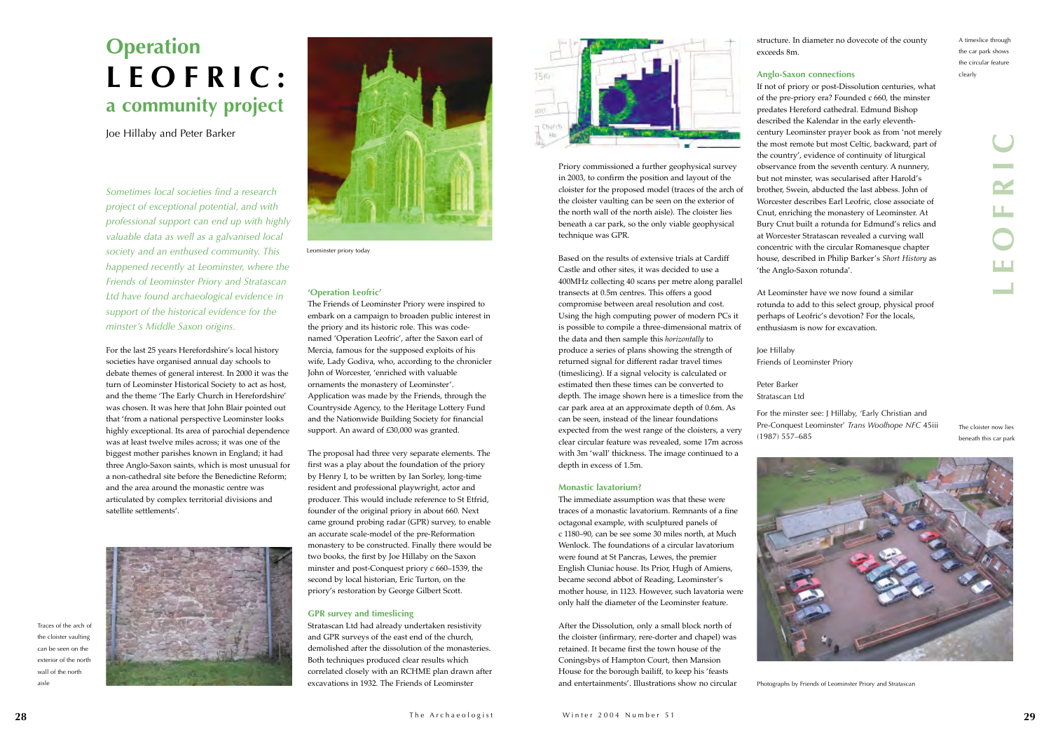*Sometimes local societies find a research project of exceptional potential, and with professional support can end up with highly valuable data as well as a galvanised local society and an enthused community. This happened recently at Leominster, where the Friends of Leominster Priory and Stratascan Ltd have found archaeological evidence in support of the historical evidence for the minster's Middle Saxon origins.*

For the last 25 years Herefordshire's local history societies have organised annual day schools to debate themes of general interest. In 2000 it was the turn of Leominster Historical Society to act as host, and the theme 'The Early Church in Herefordshire' was chosen. It was here that John Blair pointed out that 'from a national perspective Leominster looks highly exceptional. Its area of parochial dependence was at least twelve miles across; it was one of the biggest mother parishes known in England; it had three Anglo-Saxon saints, which is most unusual for a non-cathedral site before the Benedictine Reform; and the area around the monastic centre was articulated by complex territorial divisions and satellite settlements'.



## **'Operation Leofric'**

The Friends of Leominster Priory were inspired to embark on a campaign to broaden public interest in the priory and its historic role. This was codenamed 'Operation Leofric', after the Saxon earl of Mercia, famous for the supposed exploits of his wife, Lady Godiva, who, according to the chronicler John of Worcester, 'enriched with valuable ornaments the monastery of Leominster'. Application was made by the Friends, through the Countryside Agency, to the Heritage Lottery Fund and the Nationwide Building Society for financial support. An award of £30,000 was granted.

The proposal had three very separate elements. The first was a play about the foundation of the priory by Henry I, to be written by Ian Sorley, long-time resident and professional playwright, actor and producer. This would include reference to St Etfrid, founder of the original priory in about 660. Next came ground probing radar (GPR) survey, to enable an accurate scale-model of the pre-Reformation monastery to be constructed. Finally there would be two books, the first by Joe Hillaby on the Saxon minster and post-Conquest priory c 660–1539, the second by local historian, Eric Turton, on the priory's restoration by George Gilbert Scott.

## **GPR survey and timeslicing**

If not of priory or post-Dissolution centuries, what of the pre-priory era? Founded c 660, the minster predates Hereford cathedral. Edmund Bishop described the Kalendar in the early eleventhcentury Leominster prayer book as from 'not merely the most remote but most Celtic, backward, part of the country', evidence of continuity of liturgical observance from the seventh century. A nunnery, but not minster, was secularised after Harold's brother, Swein, abducted the last abbess. John of Worcester describes Earl Leofric, close associate of Cnut, enriching the monastery of Leominster. At Bury Cnut built a rotunda for Edmund's relics and at Worcester Stratascan revealed a curving wall concentric with the circular Romanesque chapter house, described in Philip Barker's *Short History* as 'the Anglo-Saxon rotunda'. The term of the most external proposition and layout of the contribution of the contribution of the contribution of the contribution of the contribution of the contribution of the contribution of the contribution of the co

Stratascan Ltd had already undertaken resistivity and GPR surveys of the east end of the church, demolished after the dissolution of the monasteries. Both techniques produced clear results which correlated closely with an RCHME plan drawn after excavations in 1932. The Friends of Leominster



Priory commissioned a further geophysical survey in 2003, to confirm the position and layout of the cloister for the proposed model (traces of the arch of the cloister vaulting can be seen on the exterior of the north wall of the north aisle). The cloister lies beneath a car park, so the only viable geophysical technique was GPR.

Based on the results of extensive trials at Cardiff Castle and other sites, it was decided to use a 400MHz collecting 40 scans per metre along parallel transects at 0.5m centres. This offers a good compromise between areal resolution and cost. Using the high computing power of modern PCs it is possible to compile a three-dimensional matrix of the data and then sample this *horizontally* to produce a series of plans showing the strength of returned signal for different radar travel times (timeslicing). If a signal velocity is calculated or estimated then these times can be converted to depth. The image shown here is a timeslice from the car park area at an approximate depth of 0.6m. As can be seen, instead of the linear foundations expected from the west range of the cloisters, a very clear circular feature was revealed, some 17m across with 3m 'wall' thickness. The image continued to a depth in excess of 1.5m.

### **Monastic lavatorium?**

The immediate assumption was that these were traces of a monastic lavatorium. Remnants of a fine octagonal example, with sculptured panels of c 1180–90, can be see some 30 miles north, at Much Wenlock. The foundations of a circular lavatorium were found at St Pancras, Lewes, the premier English Cluniac house. Its Prior, Hugh of Amiens, became second abbot of Reading, Leominster's mother house, in 1123. However, such lavatoria were only half the diameter of the Leominster feature.

After the Dissolution, only a small block north of the cloister (infirmary, rere-dorter and chapel) was retained. It became first the town house of the Coningsbys of Hampton Court, then Mansion House for the borough bailiff, to keep his 'feasts and entertainments'. Illustrations show no circular

structure. In diameter no dovecote of the county exceeds 8m.

## **Anglo-Saxon connections**

At Leominster have we now found a similar rotunda to add to this select group, physical proof perhaps of Leofric's devotion? For the locals, enthusiasm is now for excavation.

Joe Hillaby

Friends of Leominster Priory

Peter Barker Stratascan Ltd

For the minster see: J Hillaby, 'Early Christian and Pre-Conquest Leominster' *Trans Woolhope NFC* 45iii

(1987) 557–685



## **Operation LEOFRIC: a community project**

Joe Hillaby and Peter Barker

The cloister now lies beneath this car park

Photographs by Friends of Leominster Priory and Stratascan

A timeslice through the car park shows the circular feature clearly

Traces of the arch of the cloister vaulting can be seen on the exterior of the north wall of the north aisle

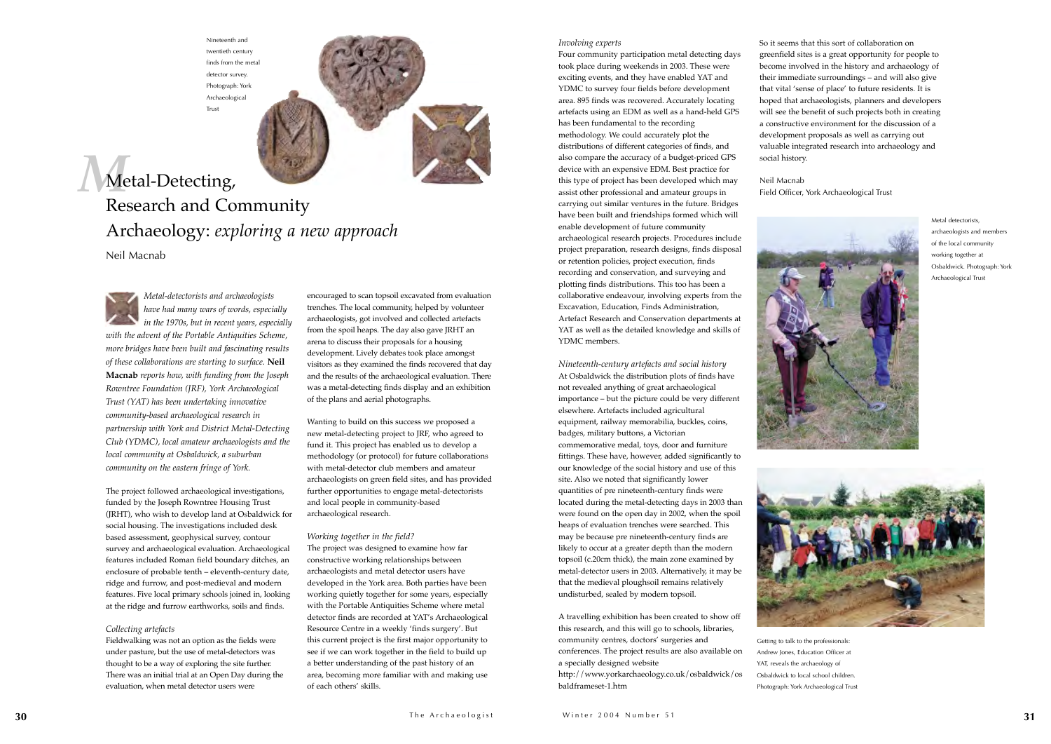*Metal-detectorists and archaeologists have had many wars of words, especially in the 1970s, but in recent years, especially with the advent of the Portable Antiquities Scheme, more bridges have been built and fascinating results of these collaborations are starting to surface.* **Neil Macnab** *reports how, with funding from the Joseph Rowntree Foundation (JRF), York Archaeological Trust (YAT) has been undertaking innovative community-based archaeological research in partnership with York and District Metal-Detecting Club (YDMC), local amateur archaeologists and the local community at Osbaldwick, a suburban community on the eastern fringe of York.* 

The project followed archaeological investigations, funded by the Joseph Rowntree Housing Trust (JRHT), who wish to develop land at Osbaldwick for social housing. The investigations included desk based assessment, geophysical survey, contour survey and archaeological evaluation. Archaeological features included Roman field boundary ditches, an enclosure of probable tenth – eleventh-century date, ridge and furrow, and post-medieval and modern features. Five local primary schools joined in, looking at the ridge and furrow earthworks, soils and finds.

## *Collecting artefacts*

Fieldwalking was not an option as the fields were under pasture, but the use of metal-detectors was thought to be a way of exploring the site further. There was an initial trial at an Open Day during the evaluation, when metal detector users were

encouraged to scan topsoil excavated from evaluation trenches. The local community, helped by volunteer archaeologists, got involved and collected artefacts from the spoil heaps. The day also gave JRHT an arena to discuss their proposals for a housing development. Lively debates took place amongst visitors as they examined the finds recovered that day and the results of the archaeological evaluation. There was a metal-detecting finds display and an exhibition of the plans and aerial photographs.

Wanting to build on this success we proposed a new metal-detecting project to JRF, who agreed to fund it. This project has enabled us to develop a methodology (or protocol) for future collaborations with metal-detector club members and amateur archaeologists on green field sites, and has provided further opportunities to engage metal-detectorists and local people in community-based archaeological research.

## *Working together in the field?*

The project was designed to examine how far constructive working relationships between archaeologists and metal detector users have developed in the York area. Both parties have been working quietly together for some years, especially with the Portable Antiquities Scheme where metal detector finds are recorded at YAT's Archaeological Resource Centre in a weekly 'finds surgery'. But this current project is the first major opportunity to see if we can work together in the field to build up a better understanding of the past history of an area, becoming more familiar with and making use of each others' skills.

### *Involving experts*

## *M* Metal-Detecting, Research and Community Archaeology: *exploring a new approach*

Four community participation metal detecting days took place during weekends in 2003. These were exciting events, and they have enabled YAT and YDMC to survey four fields before development area. 895 finds was recovered. Accurately locating artefacts using an EDM as well as a hand-held GPS has been fundamental to the recording methodology. We could accurately plot the distributions of different categories of finds, and also compare the accuracy of a budget-priced GPS device with an expensive EDM. Best practice for this type of project has been developed which may assist other professional and amateur groups in carrying out similar ventures in the future. Bridges have been built and friendships formed which will enable development of future community archaeological research projects. Procedures include project preparation, research designs, finds disposal or retention policies, project execution, finds recording and conservation, and surveying and plotting finds distributions. This too has been a collaborative endeavour, involving experts from the Excavation, Education, Finds Administration, Artefact Research and Conservation departments at YAT as well as the detailed knowledge and skills of YDMC members.

*Nineteenth-century artefacts and social history* At Osbaldwick the distribution plots of finds have not revealed anything of great archaeological importance – but the picture could be very different elsewhere. Artefacts included agricultural equipment, railway memorabilia, buckles, coins, badges, military buttons, a Victorian commemorative medal, toys, door and furniture fittings. These have, however, added significantly to our knowledge of the social history and use of this site. Also we noted that significantly lower quantities of pre nineteenth-century finds were located during the metal-detecting days in 2003 than were found on the open day in 2002, when the spoil heaps of evaluation trenches were searched. This may be because pre nineteenth-century finds are likely to occur at a greater depth than the modern topsoil (c.20cm thick), the main zone examined by metal-detector users in 2003. Alternatively, it may be that the medieval ploughsoil remains relatively undisturbed, sealed by modern topsoil.

<sup>A</sup> travelling exhibition has been created to show off this research, and this will go to schools, libraries, community centres, doctors' surgeries and conferences. The project results are also available on a specially designed website http://www.yorkarchaeology.co.uk/osbaldwick/os

baldframeset-1.htm

So it seems that this sort of collaboration on greenfield sites is a great opportunity for people to become involved in the history and archaeology of their immediate surroundings – and will also give that vital 'sense of place' to future residents. It is hoped that archaeologists, planners and developers will see the benefit of such projects both in creating a constructive environment for the discussion of a development proposals as well as carrying out valuable integrated research into archaeology and

social history.

Neil Macnab Field Officer, York Archaeological Trust



Nineteenth and twentieth century finds from the metal detector survey. Photograph: York Archaeological Trust



Getting to talk to the professionals: Andrew Jones, Education Officer at YAT, reveals the archaeology of Osbaldwick to local school children. Photograph: York Archaeological Trust



Metal detectorists, archaeologists and members of the local community working together at Osbaldwick. Photograph: York Archaeological Trust



Neil Macnab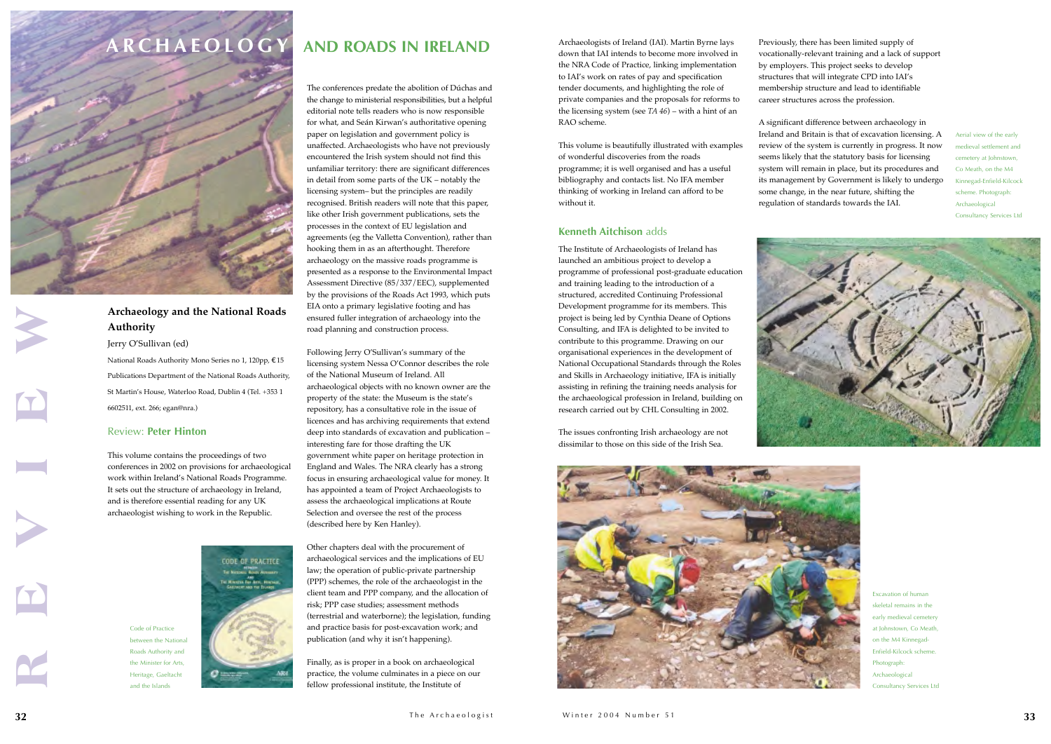The conferences predate the abolition of Dúchas and the change to ministerial responsibilities, but a helpful editorial note tells readers who is now responsible for what, and Seán Kirwan's authoritative opening paper on legislation and government policy is unaffected. Archaeologists who have not previously encountered the Irish system should not find this unfamiliar territory: there are significant differences in detail from some parts of the UK – notably the licensing system– but the principles are readily recognised. British readers will note that this paper, like other Irish government publications, sets the processes in the context of EU legislation and agreements (eg the Valletta Convention), rather than hooking them in as an afterthought. Therefore archaeology on the massive roads programme is presented as a response to the Environmental Impact Assessment Directive (85/337/EEC), supplemented by the provisions of the Roads Act 1993, which puts EIA onto a primary legislative footing and has ensured fuller integration of archaeology into the road planning and construction process.

Following Jerry O'Sullivan's summary of the licensing system Nessa O'Connor describes the role of the National Museum of Ireland. All archaeological objects with no known owner are the property of the state: the Museum is the state's repository, has a consultative role in the issue of licences and has archiving requirements that extend deep into standards of excavation and publication – interesting fare for those drafting the UK government white paper on heritage protection in England and Wales. The NRA clearly has a strong focus in ensuring archaeological value for money. It has appointed a team of Project Archaeologists to assess the archaeological implications at Route Selection and oversee the rest of the process (described here by Ken Hanley).

Other chapters deal with the procurement of archaeological services and the implications of EU law; the operation of public-private partnership (PPP) schemes, the role of the archaeologist in the client team and PPP company, and the allocation of risk; PPP case studies; assessment methods (terrestrial and waterborne); the legislation, funding and practice basis for post-excavation work; and publication (and why it isn't happening).

Finally, as is proper in a book on archaeological practice, the volume culminates in a piece on our fellow professional institute, the Institute of

Archaeologists of Ireland (IAI). Martin Byrne lays down that IAI intends to become more involved in the NRA Code of Practice, linking implementation to IAI's work on rates of pay and specification tender documents, and highlighting the role of private companies and the proposals for reforms to the licensing system (see *TA <sup>46</sup>*) – with a hint of an RAO scheme.

This volume is beautifully illustrated with examples of wonderful discoveries from the roads programme; it is well organised and has a useful bibliography and contacts list. No IFA member thinking of working in Ireland can afford to be without it.

## **Kenneth Aitchison** adds

The Institute of Archaeologists of Ireland has launched an ambitious project to develop a programme of professional post-graduate education and training leading to the introduction of a structured, accredited Continuing Professional Development programme for its members. This project is being led by Cynthia Deane of Options Consulting, and IFA is delighted to be invited to contribute to this programme. Drawing on our organisational experiences in the development of National Occupational Standards through the Roles and Skills in Archaeology initiative, IFA is initially assisting in refining the training needs analysis for the archaeological profession in Ireland, building on research carried out by CHL Consulting in 2002.

The issues confronting Irish archaeology are not dissimilar to those on this side of the Irish Sea.

Previously, there has been limited supply of vocationally-relevant training and a lack of suppor<sup>t</sup> by employers. This project seeks to develop structures that will integrate CPD into IAI's membership structure and lead to identifiable career structures across the profession.

<sup>A</sup> significant difference between archaeology in Ireland and Britain is that of excavation licensing. A review of the system is currently in progress. It now seems likely that the statutory basis for licensing system will remain in place, but its procedures and its management by Government is likely to undergo some change, in the near future, shifting the regulation of standards towards the IAI.







Aerial view of the early medieval settlement and cemetery at Johnstown, Co Meath, on the M4 Kinnegad-Enfield-Kilcock scheme. Photograph: Archaeological Consultancy Services Ltd



Code of Practice

between the National Roads Authority and the Minister for Arts Heritage, Gaeltacht and the Islands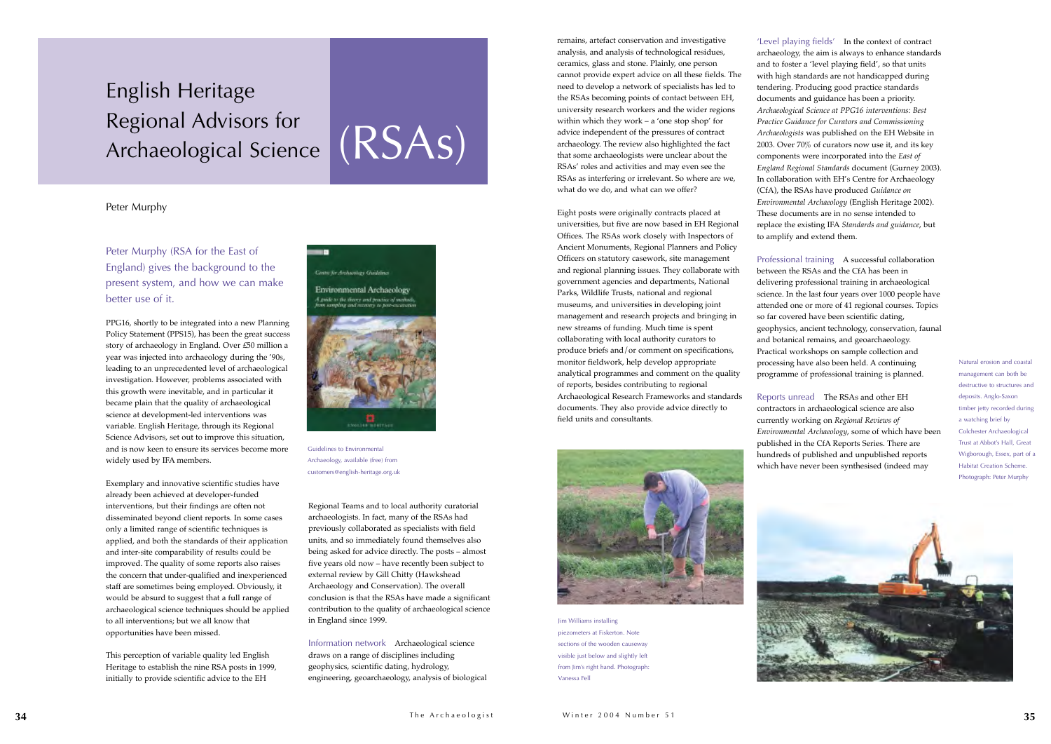Peter Murphy (RSA for the East of England) gives the background to the present system, and how we can make better use of it.

PPG16, shortly to be integrated into a new Planning Policy Statement (PPS15), has been the great success story of archaeology in England. Over £50 million a year was injected into archaeology during the '90s, leading to an unprecedented level of archaeological investigation. However, problems associated with this growth were inevitable, and in particular it became plain that the quality of archaeological science at development-led interventions was variable. English Heritage, through its Regional Science Advisors, set out to improve this situation, and is now keen to ensure its services become more widely used by IFA members.

Exemplary and innovative scientific studies have already been achieved at developer-funded interventions, but their findings are often not disseminated beyond client reports. In some cases only a limited range of scientific techniques is applied, and both the standards of their application and inter-site comparability of results could be improved. The quality of some reports also raises the concern that under-qualified and inexperienced staff are sometimes being employed. Obviously, it would be absurd to suggest that a full range of archaeological science techniques should be applied to all interventions; but we all know that opportunities have been missed.

This perception of variable quality led English Heritage to establish the nine RSA posts in 1999, initially to provide scientific advice to the EH

## **Conne for Archaeology Guidelines**

..

Environmental Archaeology A guide to the thory and practice of methods,

Regional Teams and to local authority curatorial archaeologists. In fact, many of the RSAs had previously collaborated as specialists with field units, and so immediately found themselves also being asked for advice directly. The posts – almost five years old now – have recently been subject to external review by Gill Chitty (Hawkshead Archaeology and Conservation). The overall conclusion is that the RSAs have made a significant contribution to the quality of archaeological science in England since 1999.

Information network Archaeological science draws on a range of disciplines including geophysics, scientific dating, hydrology, engineering, geoarchaeology, analysis of biological

remains, artefact conservation and investigative analysis, and analysis of technological residues, ceramics, glass and stone. Plainly, one person cannot provide expert advice on all these fields. The need to develop a network of specialists has led to the RSAs becoming points of contact between EH, university research workers and the wider regions within which they work – a 'one stop shop' for advice independent of the pressures of contract archaeology. The review also highlighted the fact that some archaeologists were unclear about the RSAs' roles and activities and may even see the RSAs as interfering or irrelevant. So where are we, what do we do, and what can we offer?

Eight posts were originally contracts placed at universities, but five are now based in EH Regional Offices. The RSAs work closely with Inspectors of Ancient Monuments, Regional Planners and Policy Officers on statutory casework, site management and regional planning issues. They collaborate with government agencies and departments, National Parks, Wildlife Trusts, national and regional museums, and universities in developing joint management and research projects and bringing in new streams of funding. Much time is spent collaborating with local authority curators to produce briefs and/or comment on specifications, monitor fieldwork, help develop appropriate analytical programmes and comment on the quality of reports, besides contributing to regional Archaeological Research Frameworks and standards documents. They also provide advice directly to field units and consultants.



'Level playing fields' In the context of contract archaeology, the aim is always to enhance standards and to foster a 'level playing field', so that units with high standards are not handicapped during tendering. Producing good practice standards documents and guidance has been a priority. *Archaeological Science at PPG16 interventions: Best Practice Guidance for Curators and Commissioning Archaeologists* was published on the EH Website in 2003. Over 70% of curators now use it, and its key components were incorporated into the *East of England Regional Standards* document (Gurney 2003). In collaboration with EH's Centre for Archaeology (CfA), the RSAs have produced *Guidance on Environmental Archaeology* (English Heritage 2002). These documents are in no sense intended to replace the existing IFA *Standards and guidance*, but to amplify and extend them.

Professional training <sup>A</sup> successful collaboration between the RSAs and the CfA has been in delivering professional training in archaeological science. In the last four years over 1000 people have attended one or more of 41 regional courses. Topics so far covered have been scientific dating, geophysics, ancient technology, conservation, faunal and botanical remains, and geoarchaeology. Practical workshops on sample collection and processing have also been held. A continuing programme of professional training is planned.

Reports unread The RSAs and other EH contractors in archaeological science are also currently working on *Regional Reviews of Environmental Archaeology*, some of which have been published in the CfA Reports Series. There are hundreds of published and unpublished reports which have never been synthesised (indeed may

## English Heritage Regional Advisors for Archaeological Science

## Peter Murphy



Guidelines to Environmental Archaeology, available (free) from customers@english-heritage.org.uk

Jim Williams installing piezometers at Fiskerton. Note sections of the wooden causeway visible just below and slightly left from Jim's right hand. Photograph: Vanessa Fell



Natural erosion and coastal management can both be destructive to structures and deposits. Anglo-Saxon timber jetty recorded during a watching brief by Colchester Archaeological Trust at Abbot's Hall, Great Wigborough, Essex, part of a Habitat Creation Scheme. Photograph: Peter Murphy



# (RSAs)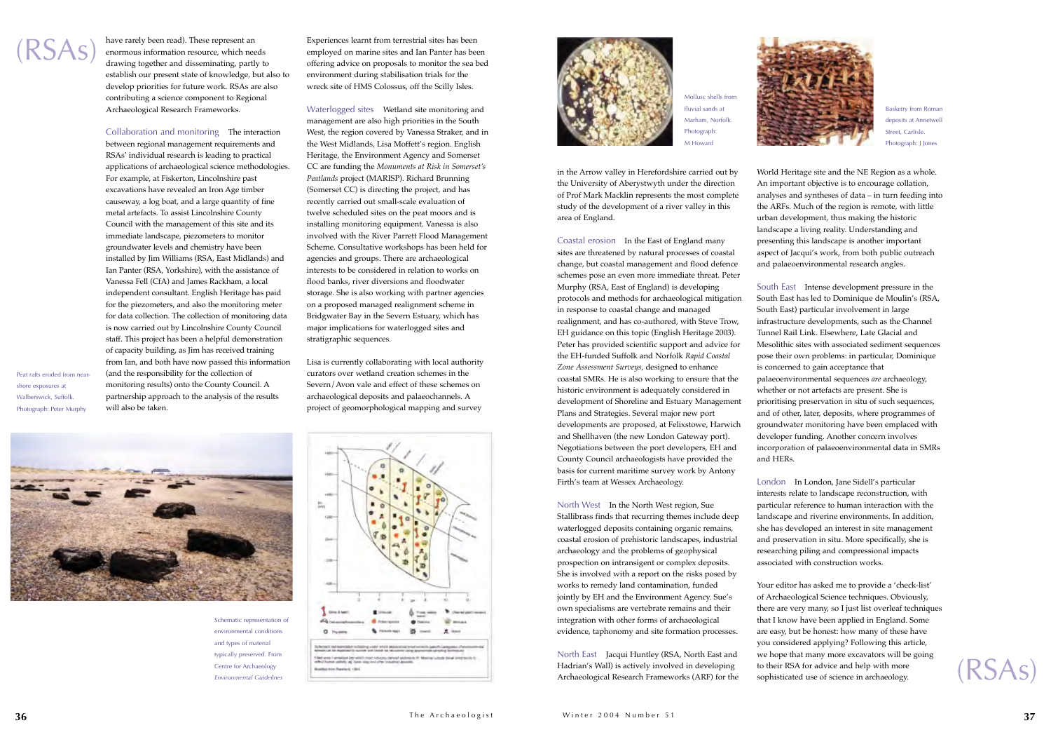have rarely been read). These represent an enormous information resource, which needs drawing together and disseminating, partly to establish our present state of knowledge, but also to develop priorities for future work. RSAs are also contributing a science component to Regional Archaeological Research Frameworks.

Collaboration and monitoring The interaction between regional management requirements and RSAs' individual research is leading to practical applications of archaeological science methodologies. For example, at Fiskerton, Lincolnshire past excavations have revealed an Iron Age timber causeway, a log boat, and a large quantity of fine metal artefacts. To assist Lincolnshire County Council with the management of this site and its immediate landscape, piezometers to monitor groundwater levels and chemistry have been installed by Jim Williams (RSA, East Midlands) and Ian Panter (RSA, Yorkshire), with the assistance of Vanessa Fell (CfA) and James Rackham, a local independent consultant. English Heritage has paid for the piezometers, and also the monitoring meter for data collection. The collection of monitoring data is now carried out by Lincolnshire County Council staff. This project has been a helpful demonstration of capacity building, as Jim has received training from Ian, and both have now passed this information (and the responsibility for the collection of monitoring results) onto the County Council. A partnership approach to the analysis of the results will also be taken.

Experiences learnt from terrestrial sites has been employed on marine sites and Ian Panter has been offering advice on proposals to monitor the sea bed environment during stabilisation trials for the wreck site of HMS Colossus, off the Scilly Isles.

Waterlogged sites Wetland site monitoring and management are also high priorities in the South West, the region covered by Vanessa Straker, and in the West Midlands, Lisa Moffett's region. English Heritage, the Environment Agency and Somerset CC are funding the *Monuments at Risk in Somerset's Peatlands* project (MARISP). Richard Brunning (Somerset CC) is directing the project, and has recently carried out small-scale evaluation of twelve scheduled sites on the peat moors and is installing monitoring equipment. Vanessa is also involved with the River Parrett Flood Management Scheme. Consultative workshops has been held for agencies and groups. There are archaeological interests to be considered in relation to works on flood banks, river diversions and floodwater storage. She is also working with partner agencies on a proposed managed realignment scheme in Bridgwater Bay in the Severn Estuary, which has major implications for waterlogged sites and stratigraphic sequences.

Lisa is currently collaborating with local authority curators over wetland creation schemes in the Severn/Avon vale and effect of these schemes on archaeological deposits and palaeochannels. A project of geomorphological mapping and survey



in the Arrow valley in Herefordshire carried out by the University of Aberystwyth under the direction of Prof Mark Macklin represents the most complete study of the development of a river valley in this area of England.



Coastal erosion In the East of England many sites are threatened by natural processes of coastal change, but coastal management and flood defence schemes pose an even more immediate threat. Peter Murphy (RSA, East of England) is developing protocols and methods for archaeological mitigation in response to coastal change and managed realignment, and has co-authored, with Steve Trow, EH guidance on this topic (English Heritage 2003). Peter has provided scientific support and advice for the EH-funded Suffolk and Norfolk *Rapid Coastal Zone Assessment Surveys*, designed to enhance coastal SMRs. He is also working to ensure that the historic environment is adequately considered in development of Shoreline and Estuary Management Plans and Strategies. Several major new port developments are proposed, at Felixstowe, Harwich and Shellhaven (the new London Gateway port). Negotiations between the port developers, EH and County Council archaeologists have provided the basis for current maritime survey work by Antony Firth's team at Wessex Archaeology.

North West In the North West region, Sue Stallibrass finds that recurring themes include deep waterlogged deposits containing organic remains, coastal erosion of prehistoric landscapes, industrial archaeology and the problems of geophysical prospection on intransigent or complex deposits. She is involved with a report on the risks posed by works to remedy land contamination, funded jointly by EH and the Environment Agency. Sue's own specialisms are vertebrate remains and their integration with other forms of archaeological evidence, taphonomy and site formation processes.

North East Jacqui Huntley (RSA, North East and Hadrian's Wall) is actively involved in developing Archaeological Research Frameworks (ARF) for the World Heritage site and the NE Region as a whole. An important objective is to encourage collation, analyses and syntheses of data – in turn feeding into the ARFs. Much of the region is remote, with little urban development, thus making the historic landscape a living reality. Understanding and presenting this landscape is another important aspect of Jacqui's work, from both public outreach and palaeoenvironmental research angles.

South East Intense development pressure in the South East has led to Dominique de Moulin's (RSA, South East) particular involvement in large infrastructure developments, such as the Channel Tunnel Rail Link. Elsewhere, Late Glacial and Mesolithic sites with associated sediment sequences pose their own problems: in particular, Dominique is concerned to gain acceptance that palaeoenvironmental sequences *are* archaeology, whether or not artefacts are present. She is prioritising preservation in situ of such sequences, and of other, later, deposits, where programmes of groundwater monitoring have been emplaced with developer funding. Another concern involves incorporation of palaeoenvironmental data in SMRs

and HERs.

London In London, Jane Sidell's particular interests relate to landscape reconstruction, with particular reference to human interaction with the landscape and riverine environments. In addition, she has developed an interest in site management and preservation in situ. More specifically, she is researching piling and compressional impacts associated with construction works.

Your editor has asked me to provide a 'check-list' of Archaeological Science techniques. Obviously, there are very many, so I just list overleaf techniques that I know have been applied in England. Some are easy, but be honest: how many of these have you considered applying? Following this article, we hope that many more excavators will be going to their RSA for advice and help with more sophisticated use of science in archaeology.

Peat rafts eroded from nearshore exposures at Walberswick, Suffolk. Photograph: Peter Murphy

> Schematic representation of environmental conditions and types of material typically preserved. From Centre for Archaeology *Environmental Guidelines*





Mollusc shells from fluvial sands at Marham, Norfolk. Photograph: M Howard

Basketry from Roman deposits at Annetwell Street, Carlisle. Photograph: J Jones

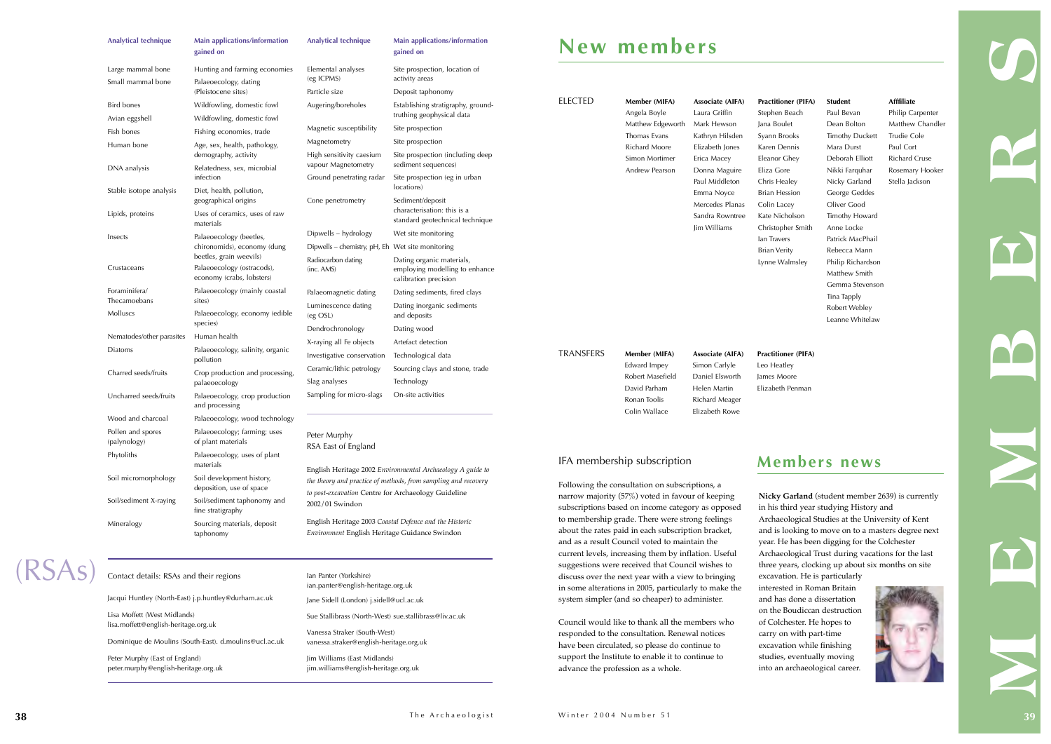current levels, increasing them by inflation. Useful suggestions were received that Council wishes to discuss over the next year with a view to bringing in some alterations in 2005, particularly to make the system simpler (and so cheaper) to administer.

Council would like to thank all the members who responded to the consultation. Renewal notices have been circulated, so please do continue to support the Institute to enable it to continue to advance the profession as a whole.



| <b>Analytical technique</b>            | <b>Main applications/information</b><br>gained on                                  | <b>Analytical technique</b>                      | Main applications/information<br>gained on                                                                                   |                                                | New members                                                                                                                                            |                                                                                                                                                                         |                                                                                  |
|----------------------------------------|------------------------------------------------------------------------------------|--------------------------------------------------|------------------------------------------------------------------------------------------------------------------------------|------------------------------------------------|--------------------------------------------------------------------------------------------------------------------------------------------------------|-------------------------------------------------------------------------------------------------------------------------------------------------------------------------|----------------------------------------------------------------------------------|
| Large mammal bone<br>Small mammal bone | Hunting and farming economies<br>Palaeoecology, dating                             | Elemental analyses<br>(eg ICPMS)                 | Site prospection, location of<br>activity areas                                                                              |                                                |                                                                                                                                                        |                                                                                                                                                                         |                                                                                  |
| (Pleistocene sites)                    |                                                                                    | Particle size                                    | Deposit taphonomy                                                                                                            |                                                |                                                                                                                                                        |                                                                                                                                                                         |                                                                                  |
| <b>Bird bones</b>                      | Wildfowling, domestic fowl                                                         | Augering/boreholes                               | <b>ELECTED</b><br>Establishing stratigraphy, ground-                                                                         | Member (MIFA)                                  | Associate (AIFA)<br>Laura Griffin                                                                                                                      | <b>Practitioner</b>                                                                                                                                                     |                                                                                  |
| Avian eggshell                         | Wildfowling, domestic fowl                                                         |                                                  | truthing geophysical data                                                                                                    |                                                | Angela Boyle<br>Matthew Edgeworth<br>Thomas Evans<br>Richard Moore                                                                                     | Mark Hewson<br>Kathryn Hilsden<br>Elizabeth Jones<br>Erica Macey<br>Donna Maguire<br>Paul Middleton<br>Emma Noyce<br>Mercedes Planas<br>Sandra Rowntree<br>Jim Williams | Stephen Bea<br>Jana Boulet<br>Syann Brook<br>Karen Denn                          |
| Fish bones                             | Fishing economies, trade                                                           | Magnetic susceptibility                          | Site prospection                                                                                                             |                                                |                                                                                                                                                        |                                                                                                                                                                         |                                                                                  |
| Human bone                             | Age, sex, health, pathology,                                                       | Magnetometry                                     | Site prospection                                                                                                             |                                                |                                                                                                                                                        |                                                                                                                                                                         |                                                                                  |
|                                        | demography, activity                                                               | High sensitivity caesium<br>vapour Magnetometry  | sediment sequences)                                                                                                          | Site prospection (including deep               | Simon Mortimer                                                                                                                                         |                                                                                                                                                                         | Eleanor Ghe                                                                      |
| DNA analysis                           | Relatedness, sex, microbial<br>infection                                           | Ground penetrating radar                         | Site prospection (eg in urban                                                                                                |                                                | Andrew Pearson                                                                                                                                         |                                                                                                                                                                         | Eliza Gore<br>Chris Healey<br><b>Brian Hessic</b><br>Colin Lacey<br>Kate Nichols |
| Stable isotope analysis                | Diet, health, pollution,<br>geographical origins                                   | Cone penetrometry                                | locations)<br>Sediment/deposit                                                                                               |                                                |                                                                                                                                                        |                                                                                                                                                                         |                                                                                  |
| Lipids, proteins                       | Uses of ceramics, uses of raw<br>materials                                         |                                                  | characterisation: this is a<br>standard geotechnical technique                                                               |                                                |                                                                                                                                                        |                                                                                                                                                                         |                                                                                  |
| Insects                                | Palaeoecology (beetles,                                                            | Dipwells – hydrology                             | Wet site monitoring                                                                                                          |                                                |                                                                                                                                                        |                                                                                                                                                                         | Christopher<br>lan Travers                                                       |
|                                        | chironomids), economy (dung                                                        | Dipwells – chemistry, pH, Eh Wet site monitoring |                                                                                                                              |                                                |                                                                                                                                                        |                                                                                                                                                                         | <b>Brian Verity</b><br>Lynne Walm                                                |
| Crustaceans                            | beetles, grain weevils)<br>Palaeoecology (ostracods),<br>economy (crabs, lobsters) | Radiocarbon dating<br>(inc. AMS)                 | Dating organic materials,<br>employing modelling to enhance<br>calibration precision                                         |                                                |                                                                                                                                                        |                                                                                                                                                                         |                                                                                  |
| Foraminifera/                          | Palaeoecology (mainly coastal                                                      | Palaeomagnetic dating                            | Dating sediments, fired clays                                                                                                |                                                |                                                                                                                                                        |                                                                                                                                                                         |                                                                                  |
| Thecamoebans<br>Molluscs               | sites)<br>Palaeoecology, economy (edible                                           | Luminescence dating<br>(eg OSL)                  | Dating inorganic sediments<br>and deposits                                                                                   |                                                |                                                                                                                                                        |                                                                                                                                                                         |                                                                                  |
|                                        | species)                                                                           | Dendrochronology                                 | Dating wood                                                                                                                  |                                                |                                                                                                                                                        |                                                                                                                                                                         |                                                                                  |
| Nematodes/other parasites              | Human health                                                                       | X-raying all Fe objects                          | Artefact detection                                                                                                           |                                                |                                                                                                                                                        |                                                                                                                                                                         |                                                                                  |
| Diatoms                                | Palaeoecology, salinity, organic<br>pollution                                      | Investigative conservation                       | Technological data                                                                                                           | <b>TRANSFERS</b>                               | Member (MIFA)<br>Edward Impey<br>Robert Masefield<br>David Parham<br>Ronan Toolis                                                                      | Associate (AIFA)<br>Simon Carlyle<br>Daniel Elsworth<br>Helen Martin<br><b>Richard Meager</b>                                                                           | <b>Practitioner</b><br>Leo Heatley<br>James Moore<br>Elizabeth Pe                |
| Charred seeds/fruits                   | Crop production and processing,                                                    | Ceramic/lithic petrology                         | Sourcing clays and stone, trade                                                                                              |                                                |                                                                                                                                                        |                                                                                                                                                                         |                                                                                  |
|                                        | palaeoecology                                                                      | Slag analyses                                    | Technology                                                                                                                   |                                                |                                                                                                                                                        |                                                                                                                                                                         |                                                                                  |
| Uncharred seeds/fruits                 | Palaeoecology, crop production<br>and processing                                   | Sampling for micro-slags                         | On-site activities                                                                                                           |                                                |                                                                                                                                                        |                                                                                                                                                                         |                                                                                  |
| Wood and charcoal                      | Palaeoecology, wood technology                                                     |                                                  |                                                                                                                              |                                                | Colin Wallace                                                                                                                                          | Elizabeth Rowe                                                                                                                                                          |                                                                                  |
| Pollen and spores<br>(palynology)      | Palaeoecology; farming; uses<br>of plant materials                                 | Peter Murphy<br>RSA East of England              |                                                                                                                              |                                                |                                                                                                                                                        |                                                                                                                                                                         |                                                                                  |
| Phytoliths                             | Palaeoecology, uses of plant<br>materials                                          |                                                  |                                                                                                                              |                                                | IFA membership subscription                                                                                                                            |                                                                                                                                                                         | Mem                                                                              |
| Soil micromorphology                   | Soil development history,<br>deposition, use of space                              |                                                  | English Heritage 2002 Environmental Archaeology A guide to<br>the theory and practice of methods, from sampling and recovery | Following the consultation on subscriptions, a |                                                                                                                                                        |                                                                                                                                                                         |                                                                                  |
| Soil/sediment X-raying                 | Soil/sediment taphonomy and<br>fine stratigraphy                                   | 2002/01 Swindon                                  | to post-excavation Centre for Archaeology Guideline                                                                          |                                                | narrow majority $(57%)$ voted in favour of keeping<br>subscriptions based on income category as opposed                                                |                                                                                                                                                                         | Nicky Gar<br>in his third                                                        |
| Mineralogy                             | Sourcing materials, deposit<br>taphonomy                                           | Environment English Heritage Guidance Swindon    | English Heritage 2003 Coastal Defence and the Historic                                                                       |                                                | to membership grade. There were strong feelings<br>about the rates paid in each subscription bracket,<br>and as a result Council voted to maintain the | Archaeolo<br>and is lool<br>year. He h<br>$-1 -$                                                                                                                        |                                                                                  |

|                                                        | ian.panter@english-heritage.org.uk                     |
|--------------------------------------------------------|--------------------------------------------------------|
| Jacqui Huntley (North-East) j.p.huntley@durham.ac.uk   | Jane Sidell (London) j.sidell@ucl.ac.uk                |
| Lisa Moffett (West Midlands)                           | Sue Stallibrass (North-West) sue stallibrass@liv.ac.uk |
| lisa.moffett@english-heritage.org.uk                   | Vanessa Straker (South-West)                           |
| Dominique de Moulins (South-East). d.moulins@ucl.ac.uk | vanessa.straker@english-heritage.org.uk                |
| Peter Murphy (East of England)                         | Jim Williams (East Midlands)                           |
| peter.murphy@english-heritage.org.uk                   | jim.williams@english-heritage.org.uk                   |
|                                                        |                                                        |

Ian Panter (Yorkshire)

| $\blacksquare$<br><b>INJ</b> |  |  |
|------------------------------|--|--|
|                              |  |  |

| <b>Practitioner (PIFA)</b><br>Stephen Beach<br>Jana Boulet<br>Syann Brooks<br>Karen Dennis<br>Eleanor Ghey<br>Eliza Gore<br>Chris Healey<br><b>Brian Hession</b><br>Colin Lacey | <b>Student</b><br>Paul Bevan<br>Dean Bolton<br><b>Timothy Duckett</b><br>Mara Durst<br>Deborah Elliott<br>Nikki Farquhar<br>Nicky Garland<br>George Geddes<br>Oliver Good                                                                                                                                                                                                                                                       | Afffiliate<br>Philip Carpenter<br>Matthew Chandler<br>Trudie Cole<br>Paul Cort<br><b>Richard Cruse</b><br>Rosemary Hooker<br>Stella Jackson |  |
|---------------------------------------------------------------------------------------------------------------------------------------------------------------------------------|---------------------------------------------------------------------------------------------------------------------------------------------------------------------------------------------------------------------------------------------------------------------------------------------------------------------------------------------------------------------------------------------------------------------------------|---------------------------------------------------------------------------------------------------------------------------------------------|--|
| Kate Nicholson<br>Christopher Smith<br>lan Travers<br><b>Brian Verity</b><br>Lynne Walmsley                                                                                     | Timothy Howard<br>Anne Locke<br>Patrick MacPhail<br>Rebecca Mann<br>Philip Richardson<br>Matthew Smith<br>Gemma Stevenson<br>Tina Tapply<br>Robert Webley<br>Leanne Whitelaw                                                                                                                                                                                                                                                    |                                                                                                                                             |  |
| <b>Practitioner (PIFA)</b><br>Leo Heatley<br>James Moore<br>Elizabeth Penman                                                                                                    |                                                                                                                                                                                                                                                                                                                                                                                                                                 |                                                                                                                                             |  |
|                                                                                                                                                                                 | <b>Members news</b><br>Nicky Garland (student member 2639) is currently<br>in his third year studying History and                                                                                                                                                                                                                                                                                                               |                                                                                                                                             |  |
|                                                                                                                                                                                 | Archaeological Studies at the University of Kent<br>and is looking to move on to a masters degree next<br>year. He has been digging for the Colchester<br>Archaeological Trust during vacations for the last<br>three years, clocking up about six months on site<br>excavation. He is particularly<br>interested in Roman Britain<br>and has done a dissertation<br>on the Boudiccan destruction<br>of Colchester. He hopes to |                                                                                                                                             |  |
|                                                                                                                                                                                 | carry on with part-time<br>excavation while finishing<br>studies, eventually moving<br>into an archaeological career.                                                                                                                                                                                                                                                                                                           |                                                                                                                                             |  |

### TRANSFERS **Member (MIFA) Associate (AIFA) Practitioner (PIFA)**